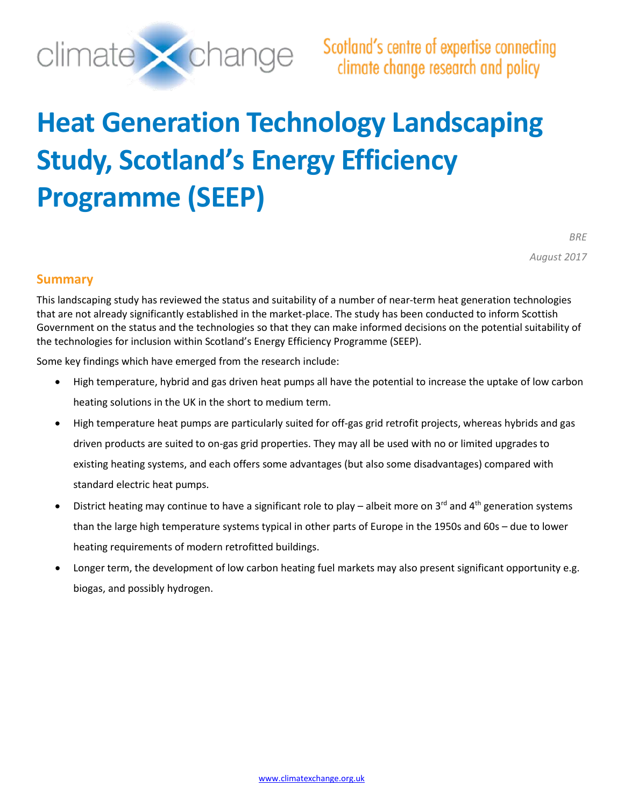

# **Heat Generation Technology Landscaping Study, Scotland's Energy Efficiency Programme (SEEP)**

*BRE August 2017*

### <span id="page-0-0"></span>**Summary**

This landscaping study has reviewed the status and suitability of a number of near-term heat generation technologies that are not already significantly established in the market-place. The study has been conducted to inform Scottish Government on the status and the technologies so that they can make informed decisions on the potential suitability of the technologies for inclusion within Scotland's Energy Efficiency Programme (SEEP).

Some key findings which have emerged from the research include:

- High temperature, hybrid and gas driven heat pumps all have the potential to increase the uptake of low carbon heating solutions in the UK in the short to medium term.
- High temperature heat pumps are particularly suited for off-gas grid retrofit projects, whereas hybrids and gas driven products are suited to on-gas grid properties. They may all be used with no or limited upgrades to existing heating systems, and each offers some advantages (but also some disadvantages) compared with standard electric heat pumps.
- District heating may continue to have a significant role to play albeit more on  $3^{rd}$  and  $4^{th}$  generation systems than the large high temperature systems typical in other parts of Europe in the 1950s and 60s – due to lower heating requirements of modern retrofitted buildings.
- Longer term, the development of low carbon heating fuel markets may also present significant opportunity e.g. biogas, and possibly hydrogen.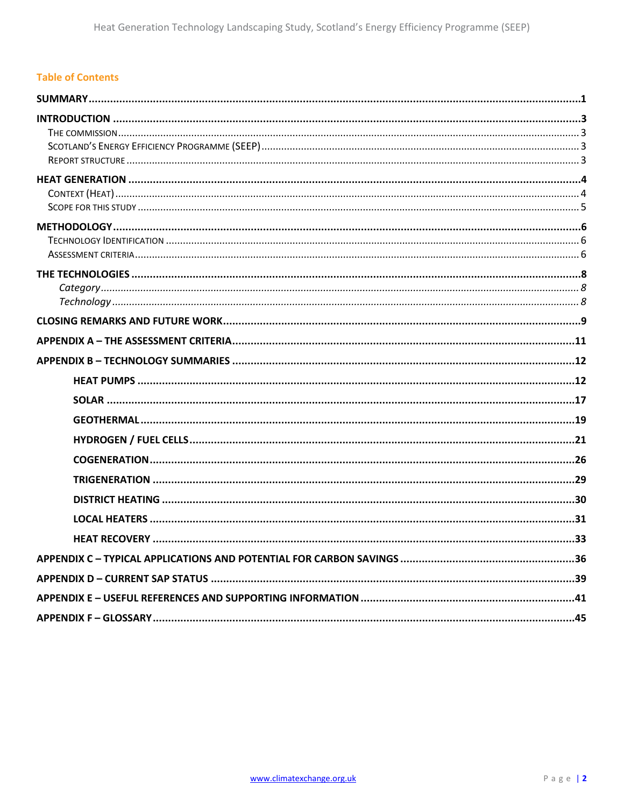### **Table of Contents**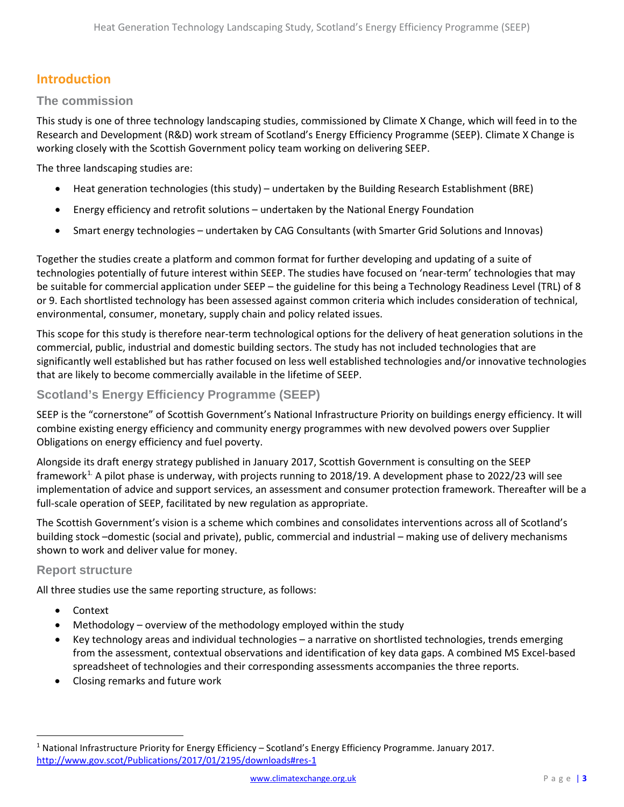# <span id="page-2-0"></span>**Introduction**

### <span id="page-2-1"></span>**The commission**

This study is one of three technology landscaping studies, commissioned by Climate X Change, which will feed in to the Research and Development (R&D) work stream of Scotland's Energy Efficiency Programme (SEEP). Climate X Change is working closely with the Scottish Government policy team working on delivering SEEP.

The three landscaping studies are:

- Heat generation technologies (this study) undertaken by the Building Research Establishment (BRE)
- Energy efficiency and retrofit solutions undertaken by the National Energy Foundation
- Smart energy technologies undertaken by CAG Consultants (with Smarter Grid Solutions and Innovas)

Together the studies create a platform and common format for further developing and updating of a suite of technologies potentially of future interest within SEEP. The studies have focused on 'near-term' technologies that may be suitable for commercial application under SEEP – the guideline for this being a Technology Readiness Level (TRL) of 8 or 9. Each shortlisted technology has been assessed against common criteria which includes consideration of technical, environmental, consumer, monetary, supply chain and policy related issues.

This scope for this study is therefore near-term technological options for the delivery of heat generation solutions in the commercial, public, industrial and domestic building sectors. The study has not included technologies that are significantly well established but has rather focused on less well established technologies and/or innovative technologies that are likely to become commercially available in the lifetime of SEEP.

### <span id="page-2-2"></span>**Scotland's Energy Efficiency Programme (SEEP)**

SEEP is the "cornerstone" of Scottish Government's National Infrastructure Priority on buildings energy efficiency. It will combine existing energy efficiency and community energy programmes with new devolved powers over Supplier Obligations on energy efficiency and fuel poverty.

Alongside its draft energy strategy published in January 2017, Scottish Government is consulting on the SEEP framework<sup>[1](#page-2-4).</sup> A pilot phase is underway, with projects running to 2018/19. A development phase to 2022/23 will see implementation of advice and support services, an assessment and consumer protection framework. Thereafter will be a full-scale operation of SEEP, facilitated by new regulation as appropriate.

The Scottish Government's vision is a scheme which combines and consolidates interventions across all of Scotland's building stock –domestic (social and private), public, commercial and industrial – making use of delivery mechanisms shown to work and deliver value for money.

### <span id="page-2-3"></span>**Report structure**

All three studies use the same reporting structure, as follows:

- Context
- Methodology overview of the methodology employed within the study
- Key technology areas and individual technologies a narrative on shortlisted technologies, trends emerging from the assessment, contextual observations and identification of key data gaps. A combined MS Excel-based spreadsheet of technologies and their corresponding assessments accompanies the three reports.
- Closing remarks and future work

<span id="page-2-4"></span><sup>&</sup>lt;sup>1</sup> National Infrastructure Priority for Energy Efficiency – Scotland's Energy Efficiency Programme. January 2017. <http://www.gov.scot/Publications/2017/01/2195/downloads#res-1>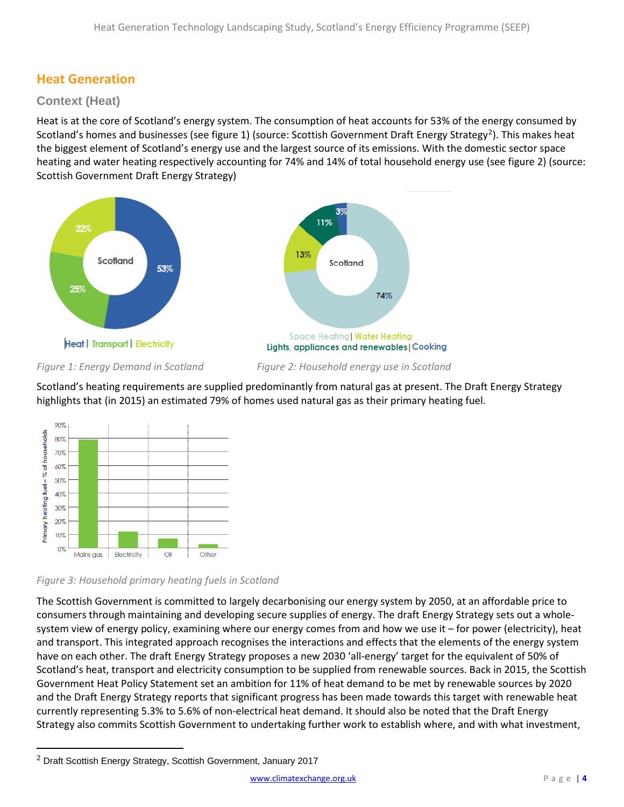# <span id="page-3-0"></span>**Heat Generation**

### <span id="page-3-1"></span>**Context (Heat)**

Heat is at the core of Scotland's energy system. The consumption of heat accounts for 53% of the energy consumed by Scotland's homes and businesses (see figure 1) (source: Scottish Government Draft Energy Strategy<sup>[2](#page-3-2)</sup>). This makes heat the biggest element of Scotland's energy use and the largest source of its emissions. With the domestic sector space heating and water heating respectively accounting for 74% and 14% of total household energy use (see figure 2) (source: Scottish Government Draft Energy Strategy)



*Figure 1: Energy Demand in Scotland Figure 2: Household energy use in Scotland*

Scotland's heating requirements are supplied predominantly from natural gas at present. The Draft Energy Strategy highlights that (in 2015) an estimated 79% of homes used natural gas as their primary heating fuel.





The Scottish Government is committed to largely decarbonising our energy system by 2050, at an affordable price to consumers through maintaining and developing secure supplies of energy. The draft Energy Strategy sets out a wholesystem view of energy policy, examining where our energy comes from and how we use it – for power (electricity), heat and transport. This integrated approach recognises the interactions and effects that the elements of the energy system have on each other. The draft Energy Strategy proposes a new 2030 'all-energy' target for the equivalent of 50% of Scotland's heat, transport and electricity consumption to be supplied from renewable sources. Back in 2015, the Scottish Government Heat Policy Statement set an ambition for 11% of heat demand to be met by renewable sources by 2020 and the Draft Energy Strategy reports that significant progress has been made towards this target with renewable heat currently representing 5.3% to 5.6% of non-electrical heat demand. It should also be noted that the Draft Energy Strategy also commits Scottish Government to undertaking further work to establish where, and with what investment,

 $\overline{\phantom{a}}$ 

<span id="page-3-2"></span><sup>2</sup> Draft Scottish Energy Strategy, Scottish Government, January 2017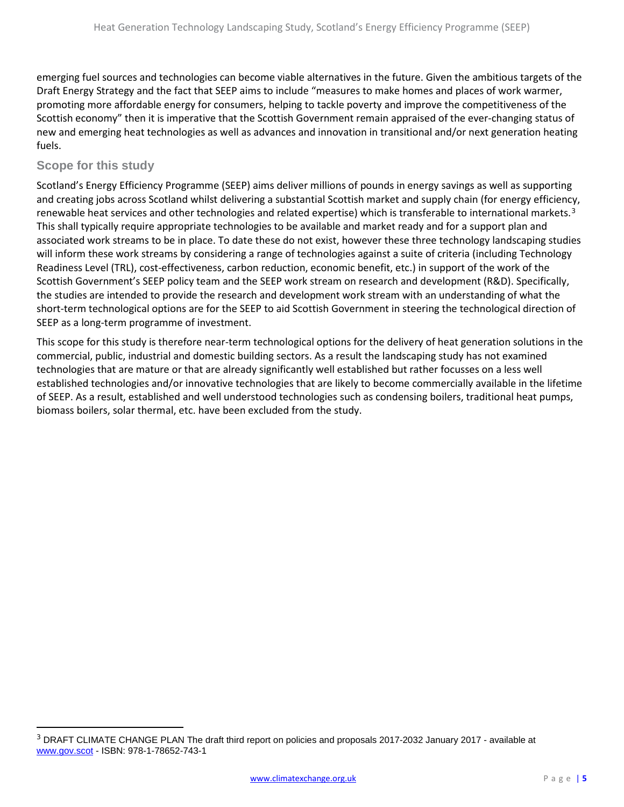emerging fuel sources and technologies can become viable alternatives in the future. Given the ambitious targets of the Draft Energy Strategy and the fact that SEEP aims to include "measures to make homes and places of work warmer, promoting more affordable energy for consumers, helping to tackle poverty and improve the competitiveness of the Scottish economy" then it is imperative that the Scottish Government remain appraised of the ever-changing status of new and emerging heat technologies as well as advances and innovation in transitional and/or next generation heating fuels.

### <span id="page-4-0"></span>**Scope for this study**

 $\overline{\phantom{a}}$ 

Scotland's Energy Efficiency Programme (SEEP) aims deliver millions of pounds in energy savings as well as supporting and creating jobs across Scotland whilst delivering a substantial Scottish market and supply chain (for energy efficiency, renewable heat services and other technologies and related expertise) which is transferable to international markets.<sup>[3](#page-4-1)</sup> This shall typically require appropriate technologies to be available and market ready and for a support plan and associated work streams to be in place. To date these do not exist, however these three technology landscaping studies will inform these work streams by considering a range of technologies against a suite of criteria (including Technology Readiness Level (TRL), cost-effectiveness, carbon reduction, economic benefit, etc.) in support of the work of the Scottish Government's SEEP policy team and the SEEP work stream on research and development (R&D). Specifically, the studies are intended to provide the research and development work stream with an understanding of what the short-term technological options are for the SEEP to aid Scottish Government in steering the technological direction of SEEP as a long-term programme of investment.

This scope for this study is therefore near-term technological options for the delivery of heat generation solutions in the commercial, public, industrial and domestic building sectors. As a result the landscaping study has not examined technologies that are mature or that are already significantly well established but rather focusses on a less well established technologies and/or innovative technologies that are likely to become commercially available in the lifetime of SEEP. As a result, established and well understood technologies such as condensing boilers, traditional heat pumps, biomass boilers, solar thermal, etc. have been excluded from the study.

<span id="page-4-1"></span><sup>&</sup>lt;sup>3</sup> DRAFT CLIMATE CHANGE PLAN The draft third report on policies and proposals 2017-2032 January 2017 - available at [www.gov.scot](http://www.gov.scot/) - ISBN: 978-1-78652-743-1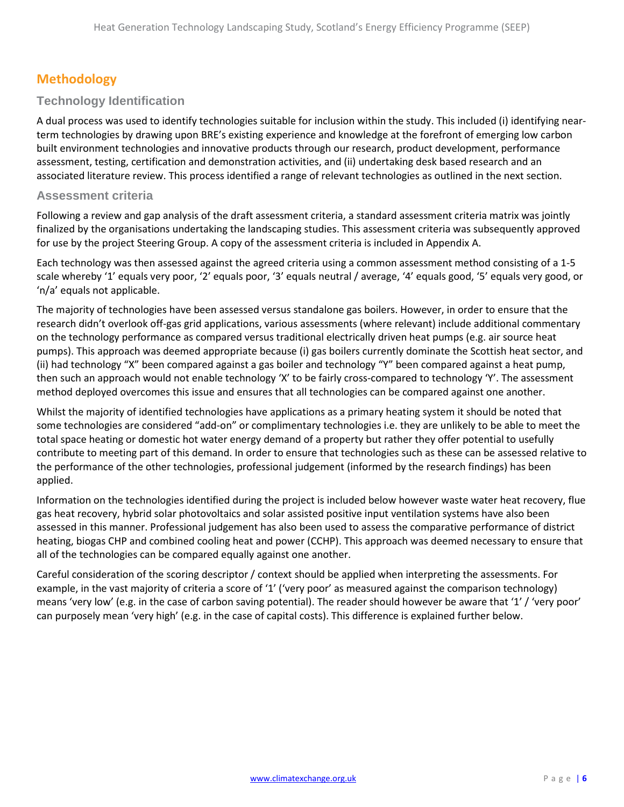# <span id="page-5-0"></span>**Methodology**

### <span id="page-5-1"></span>**Technology Identification**

A dual process was used to identify technologies suitable for inclusion within the study. This included (i) identifying nearterm technologies by drawing upon BRE's existing experience and knowledge at the forefront of emerging low carbon built environment technologies and innovative products through our research, product development, performance assessment, testing, certification and demonstration activities, and (ii) undertaking desk based research and an associated literature review. This process identified a range of relevant technologies as outlined in the next section.

### <span id="page-5-2"></span>**Assessment criteria**

Following a review and gap analysis of the draft assessment criteria, a standard assessment criteria matrix was jointly finalized by the organisations undertaking the landscaping studies. This assessment criteria was subsequently approved for use by the project Steering Group. A copy of the assessment criteria is included in Appendix A.

Each technology was then assessed against the agreed criteria using a common assessment method consisting of a 1-5 scale whereby '1' equals very poor, '2' equals poor, '3' equals neutral / average, '4' equals good, '5' equals very good, or 'n/a' equals not applicable.

The majority of technologies have been assessed versus standalone gas boilers. However, in order to ensure that the research didn't overlook off-gas grid applications, various assessments (where relevant) include additional commentary on the technology performance as compared versus traditional electrically driven heat pumps (e.g. air source heat pumps). This approach was deemed appropriate because (i) gas boilers currently dominate the Scottish heat sector, and (ii) had technology "X" been compared against a gas boiler and technology "Y" been compared against a heat pump, then such an approach would not enable technology 'X' to be fairly cross-compared to technology 'Y'. The assessment method deployed overcomes this issue and ensures that all technologies can be compared against one another.

Whilst the majority of identified technologies have applications as a primary heating system it should be noted that some technologies are considered "add-on" or complimentary technologies i.e. they are unlikely to be able to meet the total space heating or domestic hot water energy demand of a property but rather they offer potential to usefully contribute to meeting part of this demand. In order to ensure that technologies such as these can be assessed relative to the performance of the other technologies, professional judgement (informed by the research findings) has been applied.

Information on the technologies identified during the project is included below however waste water heat recovery, flue gas heat recovery, hybrid solar photovoltaics and solar assisted positive input ventilation systems have also been assessed in this manner. Professional judgement has also been used to assess the comparative performance of district heating, biogas CHP and combined cooling heat and power (CCHP). This approach was deemed necessary to ensure that all of the technologies can be compared equally against one another.

Careful consideration of the scoring descriptor / context should be applied when interpreting the assessments. For example, in the vast majority of criteria a score of '1' ('very poor' as measured against the comparison technology) means 'very low' (e.g. in the case of carbon saving potential). The reader should however be aware that '1' / 'very poor' can purposely mean 'very high' (e.g. in the case of capital costs). This difference is explained further below.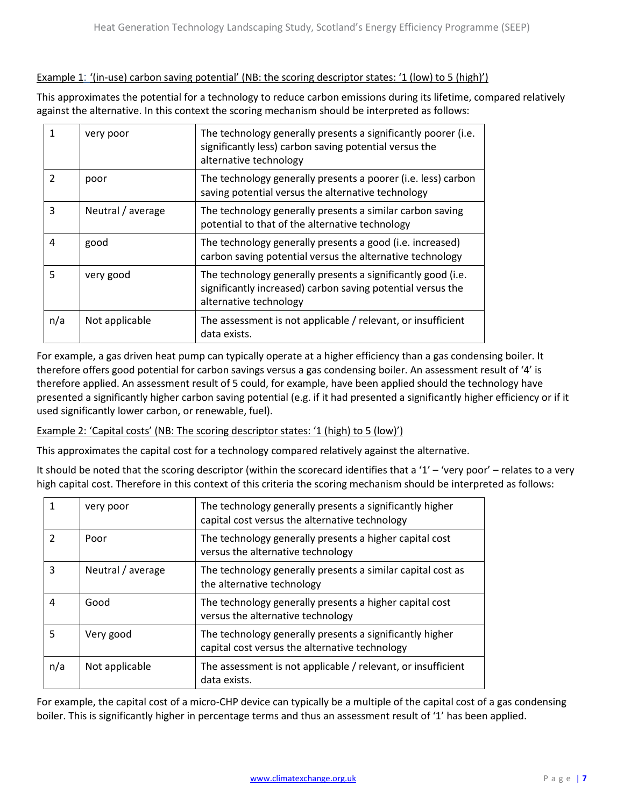### Example 1: '(in-use) carbon saving potential' (NB: the scoring descriptor states: '1 (low) to 5 (high)')

This approximates the potential for a technology to reduce carbon emissions during its lifetime, compared relatively against the alternative. In this context the scoring mechanism should be interpreted as follows:

| 1             | very poor         | The technology generally presents a significantly poorer (i.e.<br>significantly less) carbon saving potential versus the<br>alternative technology    |
|---------------|-------------------|-------------------------------------------------------------------------------------------------------------------------------------------------------|
| $\mathcal{P}$ | poor              | The technology generally presents a poorer (i.e. less) carbon<br>saving potential versus the alternative technology                                   |
| 3             | Neutral / average | The technology generally presents a similar carbon saving<br>potential to that of the alternative technology                                          |
| 4             | good              | The technology generally presents a good (i.e. increased)<br>carbon saving potential versus the alternative technology                                |
| 5             | very good         | The technology generally presents a significantly good (i.e.<br>significantly increased) carbon saving potential versus the<br>alternative technology |
| n/a           | Not applicable    | The assessment is not applicable / relevant, or insufficient<br>data exists.                                                                          |

For example, a gas driven heat pump can typically operate at a higher efficiency than a gas condensing boiler. It therefore offers good potential for carbon savings versus a gas condensing boiler. An assessment result of '4' is therefore applied. An assessment result of 5 could, for example, have been applied should the technology have presented a significantly higher carbon saving potential (e.g. if it had presented a significantly higher efficiency or if it used significantly lower carbon, or renewable, fuel).

Example 2: 'Capital costs' (NB: The scoring descriptor states: '1 (high) to 5 (low)')

This approximates the capital cost for a technology compared relatively against the alternative.

It should be noted that the scoring descriptor (within the scorecard identifies that a '1' – 'very poor' – relates to a very high capital cost. Therefore in this context of this criteria the scoring mechanism should be interpreted as follows:

| 1             | very poor         | The technology generally presents a significantly higher<br>capital cost versus the alternative technology |
|---------------|-------------------|------------------------------------------------------------------------------------------------------------|
| $\mathcal{P}$ | Poor              | The technology generally presents a higher capital cost<br>versus the alternative technology               |
| 3             | Neutral / average | The technology generally presents a similar capital cost as<br>the alternative technology                  |
| 4             | Good              | The technology generally presents a higher capital cost<br>versus the alternative technology               |
| 5             | Very good         | The technology generally presents a significantly higher<br>capital cost versus the alternative technology |
| n/a           | Not applicable    | The assessment is not applicable / relevant, or insufficient<br>data exists.                               |

For example, the capital cost of a micro-CHP device can typically be a multiple of the capital cost of a gas condensing boiler. This is significantly higher in percentage terms and thus an assessment result of '1' has been applied.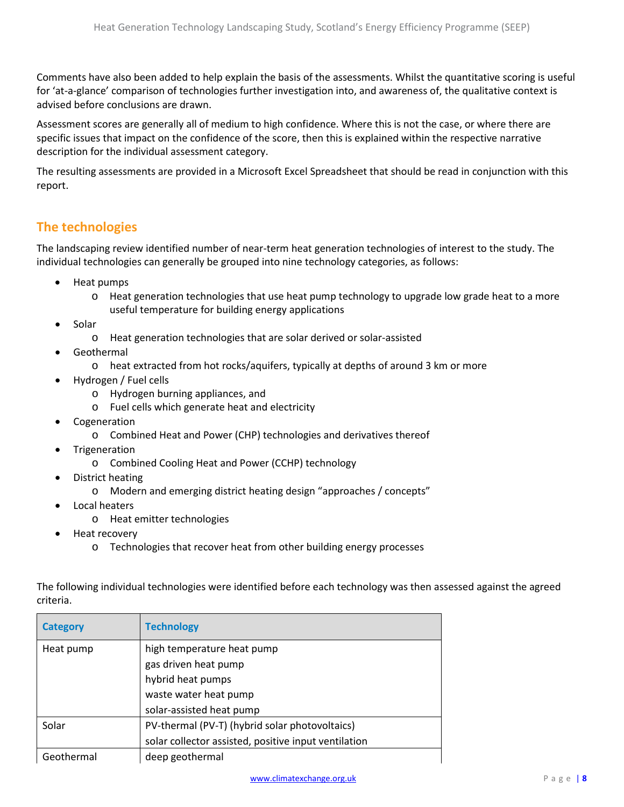Comments have also been added to help explain the basis of the assessments. Whilst the quantitative scoring is useful for 'at-a-glance' comparison of technologies further investigation into, and awareness of, the qualitative context is advised before conclusions are drawn.

Assessment scores are generally all of medium to high confidence. Where this is not the case, or where there are specific issues that impact on the confidence of the score, then this is explained within the respective narrative description for the individual assessment category.

The resulting assessments are provided in a Microsoft Excel Spreadsheet that should be read in conjunction with this report.

# <span id="page-7-0"></span>**The technologies**

The landscaping review identified number of near-term heat generation technologies of interest to the study. The individual technologies can generally be grouped into nine technology categories, as follows:

- Heat pumps
	- o Heat generation technologies that use heat pump technology to upgrade low grade heat to a more useful temperature for building energy applications
- **Solar** 
	- o Heat generation technologies that are solar derived or solar-assisted
- **Geothermal** 
	- o heat extracted from hot rocks/aquifers, typically at depths of around 3 km or more
- Hydrogen / Fuel cells
	- o Hydrogen burning appliances, and
	- o Fuel cells which generate heat and electricity
- **Cogeneration** 
	- o Combined Heat and Power (CHP) technologies and derivatives thereof
- Trigeneration
	- o Combined Cooling Heat and Power (CCHP) technology
- District heating
	- o Modern and emerging district heating design "approaches / concepts"
- Local heaters
	- o Heat emitter technologies
- Heat recovery
	- o Technologies that recover heat from other building energy processes

<span id="page-7-2"></span><span id="page-7-1"></span>

| <b>Category</b> | <b>Technology</b>                                    |
|-----------------|------------------------------------------------------|
| Heat pump       | high temperature heat pump                           |
|                 | gas driven heat pump                                 |
|                 | hybrid heat pumps                                    |
|                 | waste water heat pump                                |
|                 | solar-assisted heat pump                             |
| Solar           | PV-thermal (PV-T) (hybrid solar photovoltaics)       |
|                 | solar collector assisted, positive input ventilation |
| Geothermal      | deep geothermal                                      |

The following individual technologies were identified before each technology was then assessed against the agreed criteria.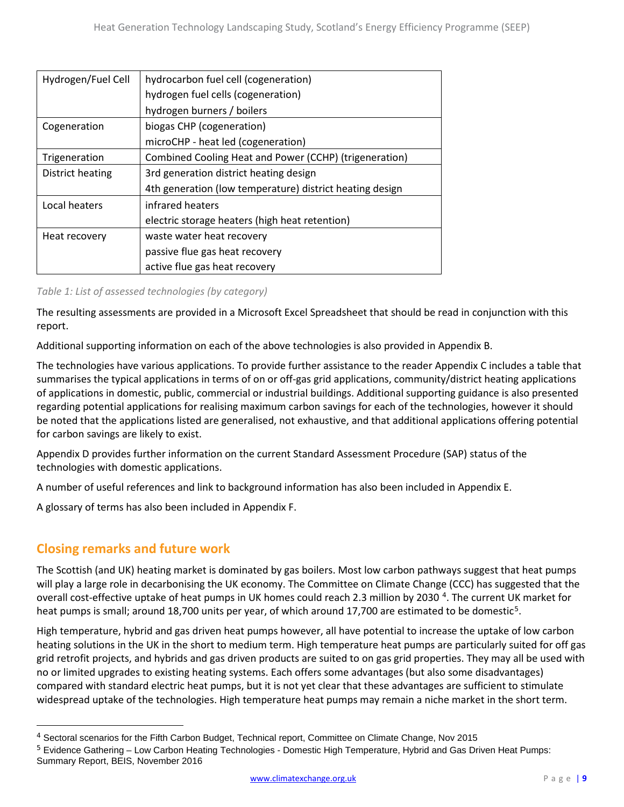| Hydrogen/Fuel Cell | hydrocarbon fuel cell (cogeneration)                     |
|--------------------|----------------------------------------------------------|
|                    | hydrogen fuel cells (cogeneration)                       |
|                    | hydrogen burners / boilers                               |
| Cogeneration       | biogas CHP (cogeneration)                                |
|                    | microCHP - heat led (cogeneration)                       |
| Trigeneration      | Combined Cooling Heat and Power (CCHP) (trigeneration)   |
| District heating   | 3rd generation district heating design                   |
|                    | 4th generation (low temperature) district heating design |
| Local heaters      | infrared heaters                                         |
|                    | electric storage heaters (high heat retention)           |
| Heat recovery      | waste water heat recovery                                |
|                    | passive flue gas heat recovery                           |
|                    | active flue gas heat recovery                            |

### *Table 1: List of assessed technologies (by category)*

The resulting assessments are provided in a Microsoft Excel Spreadsheet that should be read in conjunction with this report.

Additional supporting information on each of the above technologies is also provided in Appendix B.

The technologies have various applications. To provide further assistance to the reader Appendix C includes a table that summarises the typical applications in terms of on or off-gas grid applications, community/district heating applications of applications in domestic, public, commercial or industrial buildings. Additional supporting guidance is also presented regarding potential applications for realising maximum carbon savings for each of the technologies, however it should be noted that the applications listed are generalised, not exhaustive, and that additional applications offering potential for carbon savings are likely to exist.

Appendix D provides further information on the current Standard Assessment Procedure (SAP) status of the technologies with domestic applications.

A number of useful references and link to background information has also been included in Appendix E.

A glossary of terms has also been included in Appendix F.

# <span id="page-8-0"></span>**Closing remarks and future work**

 $\overline{a}$ 

The Scottish (and UK) heating market is dominated by gas boilers. Most low carbon pathways suggest that heat pumps will play a large role in decarbonising the UK economy. The Committee on Climate Change (CCC) has suggested that the overall cost-effective uptake of heat pumps in UK homes could reach 2.3 million by 2030<sup>[4](#page-8-1)</sup>. The current UK market for heat pumps is small; around 18,700 units per year, of which around 17,700 are estimated to be domestic<sup>[5](#page-8-2)</sup>.

High temperature, hybrid and gas driven heat pumps however, all have potential to increase the uptake of low carbon heating solutions in the UK in the short to medium term. High temperature heat pumps are particularly suited for off gas grid retrofit projects, and hybrids and gas driven products are suited to on gas grid properties. They may all be used with no or limited upgrades to existing heating systems. Each offers some advantages (but also some disadvantages) compared with standard electric heat pumps, but it is not yet clear that these advantages are sufficient to stimulate widespread uptake of the technologies. High temperature heat pumps may remain a niche market in the short term.

<span id="page-8-1"></span><sup>4</sup> Sectoral scenarios for the Fifth Carbon Budget, Technical report, Committee on Climate Change, Nov 2015

<span id="page-8-2"></span><sup>&</sup>lt;sup>5</sup> Evidence Gathering – Low Carbon Heating Technologies - Domestic High Temperature, Hybrid and Gas Driven Heat Pumps: Summary Report, BEIS, November 2016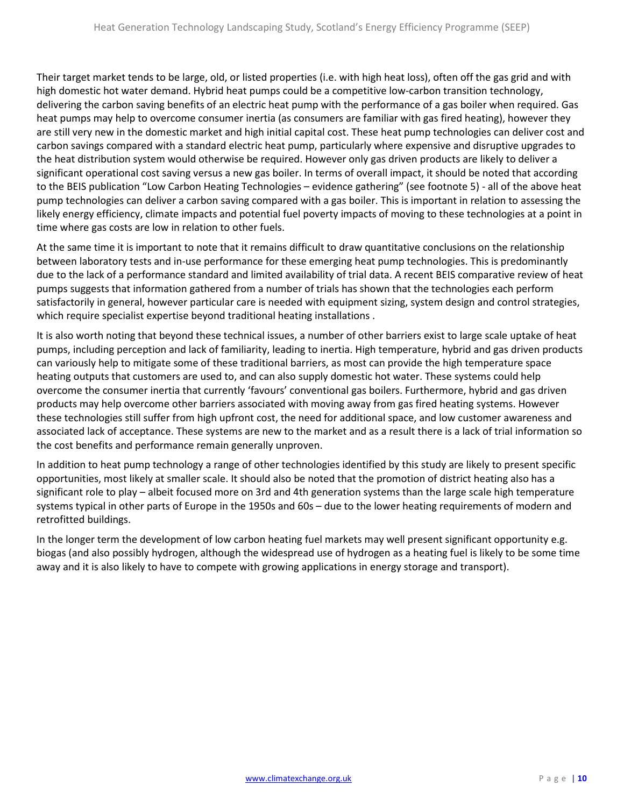Their target market tends to be large, old, or listed properties (i.e. with high heat loss), often off the gas grid and with high domestic hot water demand. Hybrid heat pumps could be a competitive low-carbon transition technology, delivering the carbon saving benefits of an electric heat pump with the performance of a gas boiler when required. Gas heat pumps may help to overcome consumer inertia (as consumers are familiar with gas fired heating), however they are still very new in the domestic market and high initial capital cost. These heat pump technologies can deliver cost and carbon savings compared with a standard electric heat pump, particularly where expensive and disruptive upgrades to the heat distribution system would otherwise be required. However only gas driven products are likely to deliver a significant operational cost saving versus a new gas boiler. In terms of overall impact, it should be noted that according to the BEIS publication "Low Carbon Heating Technologies – evidence gathering" (see footnote 5) - all of the above heat pump technologies can deliver a carbon saving compared with a gas boiler. This is important in relation to assessing the likely energy efficiency, climate impacts and potential fuel poverty impacts of moving to these technologies at a point in time where gas costs are low in relation to other fuels.

At the same time it is important to note that it remains difficult to draw quantitative conclusions on the relationship between laboratory tests and in-use performance for these emerging heat pump technologies. This is predominantly due to the lack of a performance standard and limited availability of trial data. A recent BEIS comparative review of heat pumps suggests that information gathered from a number of trials has shown that the technologies each perform satisfactorily in general, however particular care is needed with equipment sizing, system design and control strategies, which require specialist expertise beyond traditional heating installations .

It is also worth noting that beyond these technical issues, a number of other barriers exist to large scale uptake of heat pumps, including perception and lack of familiarity, leading to inertia. High temperature, hybrid and gas driven products can variously help to mitigate some of these traditional barriers, as most can provide the high temperature space heating outputs that customers are used to, and can also supply domestic hot water. These systems could help overcome the consumer inertia that currently 'favours' conventional gas boilers. Furthermore, hybrid and gas driven products may help overcome other barriers associated with moving away from gas fired heating systems. However these technologies still suffer from high upfront cost, the need for additional space, and low customer awareness and associated lack of acceptance. These systems are new to the market and as a result there is a lack of trial information so the cost benefits and performance remain generally unproven.

In addition to heat pump technology a range of other technologies identified by this study are likely to present specific opportunities, most likely at smaller scale. It should also be noted that the promotion of district heating also has a significant role to play – albeit focused more on 3rd and 4th generation systems than the large scale high temperature systems typical in other parts of Europe in the 1950s and 60s – due to the lower heating requirements of modern and retrofitted buildings.

In the longer term the development of low carbon heating fuel markets may well present significant opportunity e.g. biogas (and also possibly hydrogen, although the widespread use of hydrogen as a heating fuel is likely to be some time away and it is also likely to have to compete with growing applications in energy storage and transport).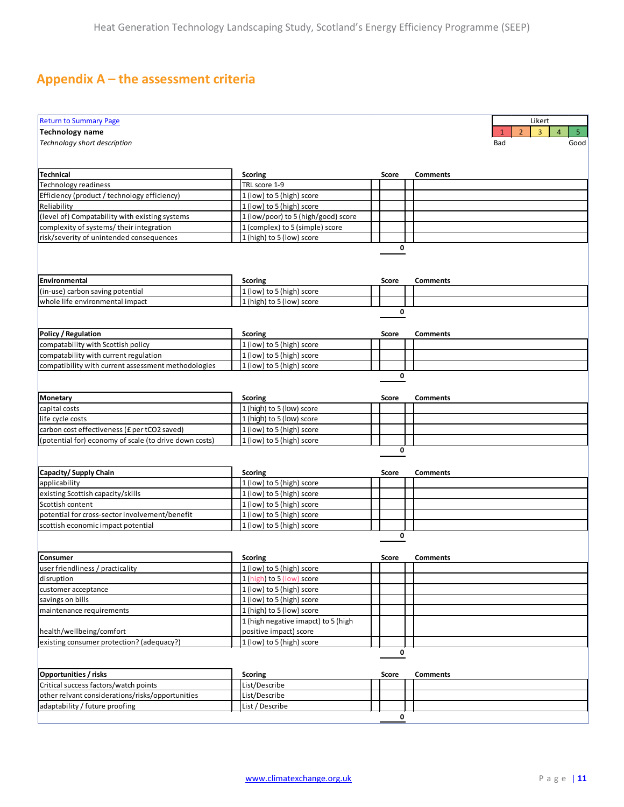# <span id="page-10-0"></span>**Appendix A – the assessment criteria**

| <b>Return to Summary Page</b>                          |                                      |              |             |                 | Likert                                                               |
|--------------------------------------------------------|--------------------------------------|--------------|-------------|-----------------|----------------------------------------------------------------------|
| <b>Technology name</b>                                 |                                      |              |             |                 | $\overline{3}$<br>$\overline{2}$<br>$\overline{4}$<br>5 <sub>1</sub> |
| Technology short description                           |                                      |              |             |                 | Bad<br>Good                                                          |
|                                                        |                                      |              |             |                 |                                                                      |
|                                                        |                                      |              |             |                 |                                                                      |
| <b>Technical</b>                                       | Scoring                              | Score        |             | <b>Comments</b> |                                                                      |
| <b>Technology readiness</b>                            | TRL score 1-9                        |              |             |                 |                                                                      |
| Efficiency (product / technology efficiency)           | 1 (low) to 5 (high) score            |              |             |                 |                                                                      |
| Reliability                                            | 1 (low) to 5 (high) score            |              |             |                 |                                                                      |
| (level of) Compatability with existing systems         | 1 (low/poor) to 5 (high/good) score  |              |             |                 |                                                                      |
| complexity of systems/their integration                | 1 (complex) to 5 (simple) score      |              |             |                 |                                                                      |
| risk/severity of unintended consequences               | 1 (high) to 5 (low) score            |              |             |                 |                                                                      |
|                                                        |                                      |              | 0           |                 |                                                                      |
|                                                        |                                      |              |             |                 |                                                                      |
|                                                        |                                      |              |             |                 |                                                                      |
| <b>Environmental</b>                                   | <b>Scoring</b>                       | Score        |             | Comments        |                                                                      |
| (in-use) carbon saving potential                       | 1 (low) to 5 (high) score            |              |             |                 |                                                                      |
| whole life environmental impact                        | 1 (high) to 5 (low) score            |              |             |                 |                                                                      |
|                                                        |                                      |              | 0           |                 |                                                                      |
|                                                        |                                      |              |             |                 |                                                                      |
| Policy / Regulation                                    | Scoring                              | Score        |             | <b>Comments</b> |                                                                      |
| compatability with Scottish policy                     | 1 (low) to 5 (high) score            |              |             |                 |                                                                      |
| compatability with current regulation                  | 1 (low) to 5 (high) score            |              |             |                 |                                                                      |
| compatibility with current assessment methodologies    | 1 (low) to 5 (high) score            |              |             |                 |                                                                      |
|                                                        |                                      |              | $\mathbf 0$ |                 |                                                                      |
|                                                        |                                      |              |             |                 |                                                                      |
| <b>Monetary</b>                                        | Scoring                              | Score        |             | <b>Comments</b> |                                                                      |
| capital costs                                          | 1 (high) to 5 (low) score            |              |             |                 |                                                                      |
| life cycle costs                                       | 1 (high) to 5 (low) score            |              |             |                 |                                                                      |
| carbon cost effectiveness (£ per tCO2 saved)           | 1 (low) to 5 (high) score            |              |             |                 |                                                                      |
| (potential for) economy of scale (to drive down costs) | 1 (low) to 5 (high) score            |              | 0           |                 |                                                                      |
|                                                        |                                      |              |             |                 |                                                                      |
|                                                        |                                      |              |             |                 |                                                                      |
| Capacity/Supply Chain<br>applicability                 | Scoring<br>1 (low) to 5 (high) score | Score        |             | Comments        |                                                                      |
| existing Scottish capacity/skills                      | 1 (low) to 5 (high) score            |              |             |                 |                                                                      |
| Scottish content                                       | 1 (low) to 5 (high) score            |              |             |                 |                                                                      |
| potential for cross-sector involvement/benefit         | 1 (low) to 5 (high) score            |              |             |                 |                                                                      |
| scottish economic impact potential                     | 1 (low) to 5 (high) score            |              |             |                 |                                                                      |
|                                                        |                                      |              | 0           |                 |                                                                      |
|                                                        |                                      |              |             |                 |                                                                      |
| Consumer                                               | Scoring                              | <b>Score</b> |             | Comments        |                                                                      |
| user friendliness / practicality                       | 1 (low) to 5 (high) score            |              |             |                 |                                                                      |
| disruption                                             | 1 (high) to 5 (low) score            |              |             |                 |                                                                      |
| customer acceptance                                    | 1 (low) to 5 (high) score            |              |             |                 |                                                                      |
| savings on bills                                       | 1 (low) to 5 (high) score            |              |             |                 |                                                                      |
| maintenance requirements                               | 1 (high) to 5 (low) score            |              |             |                 |                                                                      |
|                                                        | 1 (high negative imapct) to 5 (high  |              |             |                 |                                                                      |
| health/wellbeing/comfort                               | positive impact) score               |              |             |                 |                                                                      |
| existing consumer protection? (adequacy?)              | 1 (low) to 5 (high) score            |              |             |                 |                                                                      |
|                                                        |                                      |              | 0           |                 |                                                                      |
|                                                        |                                      |              |             |                 |                                                                      |
| Opportunities / risks                                  | Scoring                              | Score        |             | <b>Comments</b> |                                                                      |
| Critical success factors/watch points                  | List/Describe                        |              |             |                 |                                                                      |
| other relvant considerations/risks/opportunities       | List/Describe                        |              |             |                 |                                                                      |
| adaptability / future proofing                         | List / Describe                      |              |             |                 |                                                                      |
|                                                        |                                      |              | 0           |                 |                                                                      |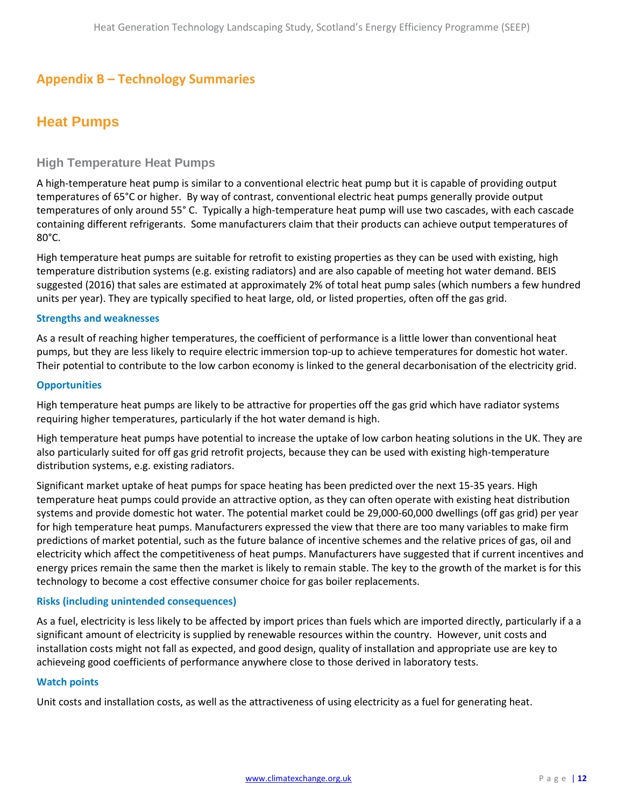# <span id="page-11-0"></span>**Appendix B – Technology Summaries**

# <span id="page-11-1"></span>**Heat Pumps**

### **High Temperature Heat Pumps**

A high-temperature heat pump is similar to a conventional electric heat pump but it is capable of providing output temperatures of 65°C or higher. By way of contrast, conventional electric heat pumps generally provide output temperatures of only around 55° C. Typically a high-temperature heat pump will use two cascades, with each cascade containing different refrigerants. Some manufacturers claim that their products can achieve output temperatures of 80°C.

High temperature heat pumps are suitable for retrofit to existing properties as they can be used with existing, high temperature distribution systems (e.g. existing radiators) and are also capable of meeting hot water demand. BEIS suggested (2016) that sales are estimated at approximately 2% of total heat pump sales (which numbers a few hundred units per year). They are typically specified to heat large, old, or listed properties, often off the gas grid.

### **Strengths and weaknesses**

As a result of reaching higher temperatures, the coefficient of performance is a little lower than conventional heat pumps, but they are less likely to require electric immersion top-up to achieve temperatures for domestic hot water. Their potential to contribute to the low carbon economy is linked to the general decarbonisation of the electricity grid.

### **Opportunities**

High temperature heat pumps are likely to be attractive for properties off the gas grid which have radiator systems requiring higher temperatures, particularly if the hot water demand is high.

High temperature heat pumps have potential to increase the uptake of low carbon heating solutions in the UK. They are also particularly suited for off gas grid retrofit projects, because they can be used with existing high-temperature distribution systems, e.g. existing radiators.

Significant market uptake of heat pumps for space heating has been predicted over the next 15-35 years. High temperature heat pumps could provide an attractive option, as they can often operate with existing heat distribution systems and provide domestic hot water. The potential market could be 29,000-60,000 dwellings (off gas grid) per year for high temperature heat pumps. Manufacturers expressed the view that there are too many variables to make firm predictions of market potential, such as the future balance of incentive schemes and the relative prices of gas, oil and electricity which affect the competitiveness of heat pumps. Manufacturers have suggested that if current incentives and energy prices remain the same then the market is likely to remain stable. The key to the growth of the market is for this technology to become a cost effective consumer choice for gas boiler replacements.

### **Risks (including unintended consequences)**

As a fuel, electricity is less likely to be affected by import prices than fuels which are imported directly, particularly if a a significant amount of electricity is supplied by renewable resources within the country. However, unit costs and installation costs might not fall as expected, and good design, quality of installation and appropriate use are key to achieveing good coefficients of performance anywhere close to those derived in laboratory tests.

#### **Watch points**

Unit costs and installation costs, as well as the attractiveness of using electricity as a fuel for generating heat.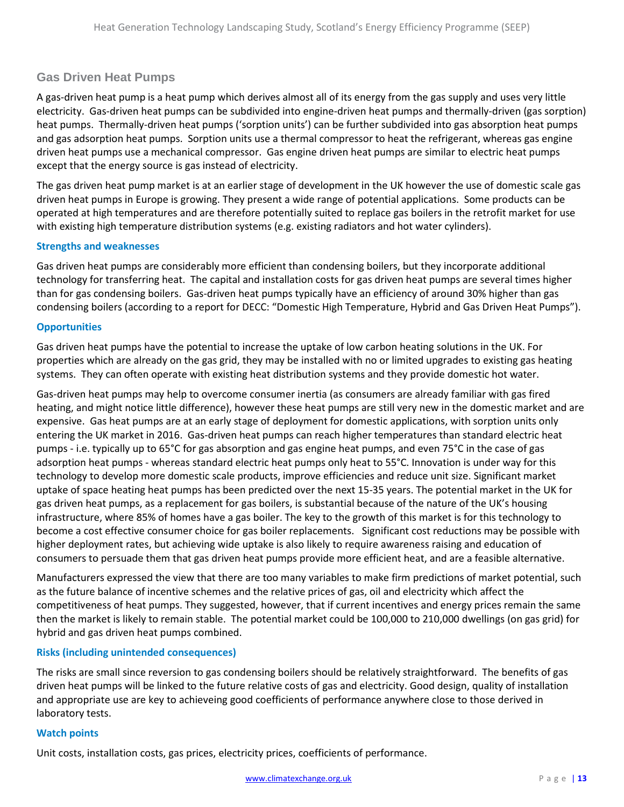### **Gas Driven Heat Pumps**

A gas-driven heat pump is a heat pump which derives almost all of its energy from the gas supply and uses very little electricity. Gas-driven heat pumps can be subdivided into engine-driven heat pumps and thermally-driven (gas sorption) heat pumps. Thermally-driven heat pumps ('sorption units') can be further subdivided into gas absorption heat pumps and gas adsorption heat pumps. Sorption units use a thermal compressor to heat the refrigerant, whereas gas engine driven heat pumps use a mechanical compressor. Gas engine driven heat pumps are similar to electric heat pumps except that the energy source is gas instead of electricity.

The gas driven heat pump market is at an earlier stage of development in the UK however the use of domestic scale gas driven heat pumps in Europe is growing. They present a wide range of potential applications. Some products can be operated at high temperatures and are therefore potentially suited to replace gas boilers in the retrofit market for use with existing high temperature distribution systems (e.g. existing radiators and hot water cylinders).

### **Strengths and weaknesses**

Gas driven heat pumps are considerably more efficient than condensing boilers, but they incorporate additional technology for transferring heat. The capital and installation costs for gas driven heat pumps are several times higher than for gas condensing boilers. Gas-driven heat pumps typically have an efficiency of around 30% higher than gas condensing boilers (according to a report for DECC: "Domestic High Temperature, Hybrid and Gas Driven Heat Pumps").

### **Opportunities**

Gas driven heat pumps have the potential to increase the uptake of low carbon heating solutions in the UK. For properties which are already on the gas grid, they may be installed with no or limited upgrades to existing gas heating systems. They can often operate with existing heat distribution systems and they provide domestic hot water.

Gas-driven heat pumps may help to overcome consumer inertia (as consumers are already familiar with gas fired heating, and might notice little difference), however these heat pumps are still very new in the domestic market and are expensive. Gas heat pumps are at an early stage of deployment for domestic applications, with sorption units only entering the UK market in 2016. Gas-driven heat pumps can reach higher temperatures than standard electric heat pumps - i.e. typically up to 65°C for gas absorption and gas engine heat pumps, and even 75°C in the case of gas adsorption heat pumps - whereas standard electric heat pumps only heat to 55°C. Innovation is under way for this technology to develop more domestic scale products, improve efficiencies and reduce unit size. Significant market uptake of space heating heat pumps has been predicted over the next 15-35 years. The potential market in the UK for gas driven heat pumps, as a replacement for gas boilers, is substantial because of the nature of the UK's housing infrastructure, where 85% of homes have a gas boiler. The key to the growth of this market is for this technology to become a cost effective consumer choice for gas boiler replacements. Significant cost reductions may be possible with higher deployment rates, but achieving wide uptake is also likely to require awareness raising and education of consumers to persuade them that gas driven heat pumps provide more efficient heat, and are a feasible alternative.

Manufacturers expressed the view that there are too many variables to make firm predictions of market potential, such as the future balance of incentive schemes and the relative prices of gas, oil and electricity which affect the competitiveness of heat pumps. They suggested, however, that if current incentives and energy prices remain the same then the market is likely to remain stable. The potential market could be 100,000 to 210,000 dwellings (on gas grid) for hybrid and gas driven heat pumps combined.

### **Risks (including unintended consequences)**

The risks are small since reversion to gas condensing boilers should be relatively straightforward. The benefits of gas driven heat pumps will be linked to the future relative costs of gas and electricity. Good design, quality of installation and appropriate use are key to achieveing good coefficients of performance anywhere close to those derived in laboratory tests.

#### **Watch points**

Unit costs, installation costs, gas prices, electricity prices, coefficients of performance.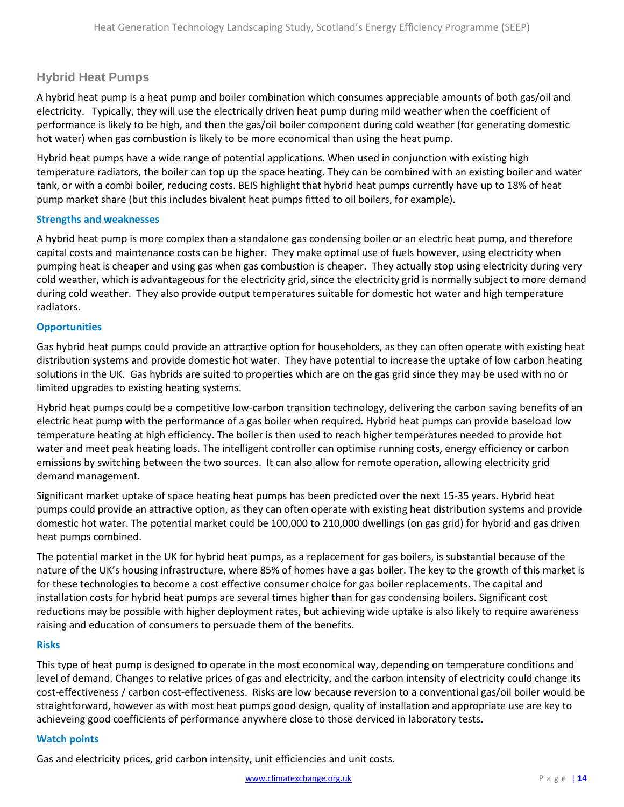### **Hybrid Heat Pumps**

A hybrid heat pump is a heat pump and boiler combination which consumes appreciable amounts of both gas/oil and electricity. Typically, they will use the electrically driven heat pump during mild weather when the coefficient of performance is likely to be high, and then the gas/oil boiler component during cold weather (for generating domestic hot water) when gas combustion is likely to be more economical than using the heat pump.

Hybrid heat pumps have a wide range of potential applications. When used in conjunction with existing high temperature radiators, the boiler can top up the space heating. They can be combined with an existing boiler and water tank, or with a combi boiler, reducing costs. BEIS highlight that hybrid heat pumps currently have up to 18% of heat pump market share (but this includes bivalent heat pumps fitted to oil boilers, for example).

### **Strengths and weaknesses**

A hybrid heat pump is more complex than a standalone gas condensing boiler or an electric heat pump, and therefore capital costs and maintenance costs can be higher. They make optimal use of fuels however, using electricity when pumping heat is cheaper and using gas when gas combustion is cheaper. They actually stop using electricity during very cold weather, which is advantageous for the electricity grid, since the electricity grid is normally subject to more demand during cold weather. They also provide output temperatures suitable for domestic hot water and high temperature radiators.

### **Opportunities**

Gas hybrid heat pumps could provide an attractive option for householders, as they can often operate with existing heat distribution systems and provide domestic hot water. They have potential to increase the uptake of low carbon heating solutions in the UK. Gas hybrids are suited to properties which are on the gas grid since they may be used with no or limited upgrades to existing heating systems.

Hybrid heat pumps could be a competitive low-carbon transition technology, delivering the carbon saving benefits of an electric heat pump with the performance of a gas boiler when required. Hybrid heat pumps can provide baseload low temperature heating at high efficiency. The boiler is then used to reach higher temperatures needed to provide hot water and meet peak heating loads. The intelligent controller can optimise running costs, energy efficiency or carbon emissions by switching between the two sources. It can also allow for remote operation, allowing electricity grid demand management.

Significant market uptake of space heating heat pumps has been predicted over the next 15-35 years. Hybrid heat pumps could provide an attractive option, as they can often operate with existing heat distribution systems and provide domestic hot water. The potential market could be 100,000 to 210,000 dwellings (on gas grid) for hybrid and gas driven heat pumps combined.

The potential market in the UK for hybrid heat pumps, as a replacement for gas boilers, is substantial because of the nature of the UK's housing infrastructure, where 85% of homes have a gas boiler. The key to the growth of this market is for these technologies to become a cost effective consumer choice for gas boiler replacements. The capital and installation costs for hybrid heat pumps are several times higher than for gas condensing boilers. Significant cost reductions may be possible with higher deployment rates, but achieving wide uptake is also likely to require awareness raising and education of consumers to persuade them of the benefits.

### **Risks**

This type of heat pump is designed to operate in the most economical way, depending on temperature conditions and level of demand. Changes to relative prices of gas and electricity, and the carbon intensity of electricity could change its cost-effectiveness / carbon cost-effectiveness. Risks are low because reversion to a conventional gas/oil boiler would be straightforward, however as with most heat pumps good design, quality of installation and appropriate use are key to achieveing good coefficients of performance anywhere close to those derviced in laboratory tests.

### **Watch points**

Gas and electricity prices, grid carbon intensity, unit efficiencies and unit costs.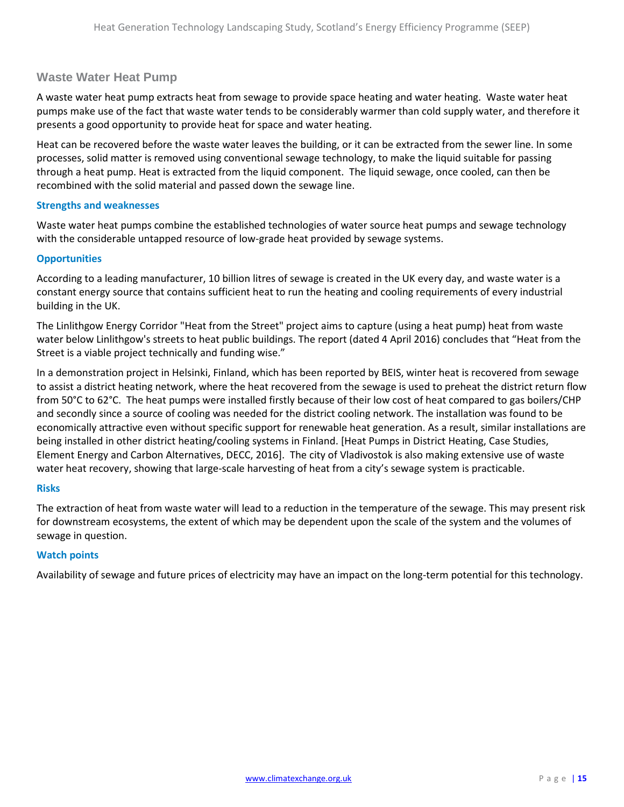### **Waste Water Heat Pump**

A waste water heat pump extracts heat from sewage to provide space heating and water heating. Waste water heat pumps make use of the fact that waste water tends to be considerably warmer than cold supply water, and therefore it presents a good opportunity to provide heat for space and water heating.

Heat can be recovered before the waste water leaves the building, or it can be extracted from the sewer line. In some processes, solid matter is removed using conventional sewage technology, to make the liquid suitable for passing through a heat pump. Heat is extracted from the liquid component. The liquid sewage, once cooled, can then be recombined with the solid material and passed down the sewage line.

### **Strengths and weaknesses**

Waste water heat pumps combine the established technologies of water source heat pumps and sewage technology with the considerable untapped resource of low-grade heat provided by sewage systems.

### **Opportunities**

According to a leading manufacturer, 10 billion litres of sewage is created in the UK every day, and waste water is a constant energy source that contains sufficient heat to run the heating and cooling requirements of every industrial building in the UK.

The Linlithgow Energy Corridor "Heat from the Street" project aims to capture (using a heat pump) heat from waste water below Linlithgow's streets to heat public buildings. The report (dated 4 April 2016) concludes that "Heat from the Street is a viable project technically and funding wise."

In a demonstration project in Helsinki, Finland, which has been reported by BEIS, winter heat is recovered from sewage to assist a district heating network, where the heat recovered from the sewage is used to preheat the district return flow from 50°C to 62°C. The heat pumps were installed firstly because of their low cost of heat compared to gas boilers/CHP and secondly since a source of cooling was needed for the district cooling network. The installation was found to be economically attractive even without specific support for renewable heat generation. As a result, similar installations are being installed in other district heating/cooling systems in Finland. [Heat Pumps in District Heating, Case Studies, Element Energy and Carbon Alternatives, DECC, 2016]. The city of Vladivostok is also making extensive use of waste water heat recovery, showing that large-scale harvesting of heat from a city's sewage system is practicable.

#### **Risks**

The extraction of heat from waste water will lead to a reduction in the temperature of the sewage. This may present risk for downstream ecosystems, the extent of which may be dependent upon the scale of the system and the volumes of sewage in question.

### **Watch points**

Availability of sewage and future prices of electricity may have an impact on the long-term potential for this technology.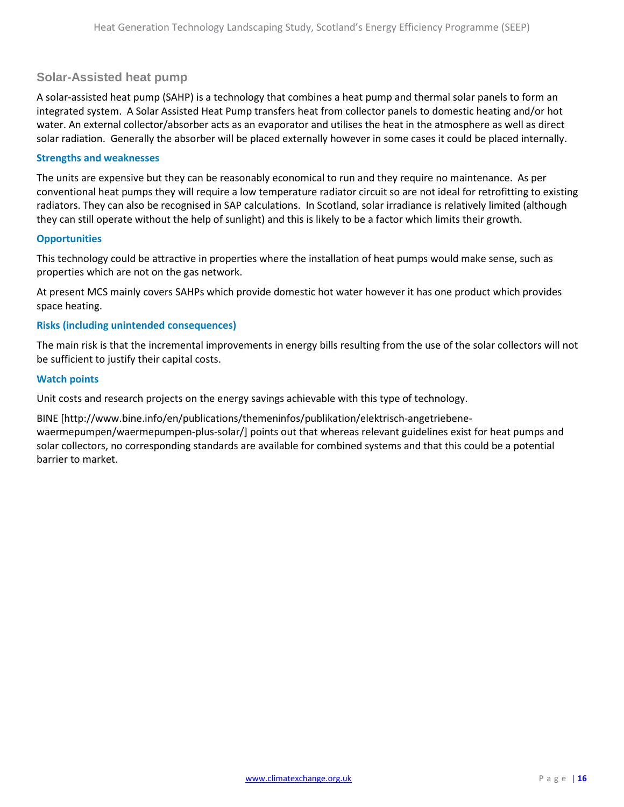### **Solar-Assisted heat pump**

A solar-assisted heat pump (SAHP) is a technology that combines a heat pump and thermal solar panels to form an integrated system. A Solar Assisted Heat Pump transfers heat from collector panels to domestic heating and/or hot water. An external collector/absorber acts as an evaporator and utilises the heat in the atmosphere as well as direct solar radiation. Generally the absorber will be placed externally however in some cases it could be placed internally.

### **Strengths and weaknesses**

The units are expensive but they can be reasonably economical to run and they require no maintenance. As per conventional heat pumps they will require a low temperature radiator circuit so are not ideal for retrofitting to existing radiators. They can also be recognised in SAP calculations. In Scotland, solar irradiance is relatively limited (although they can still operate without the help of sunlight) and this is likely to be a factor which limits their growth.

### **Opportunities**

This technology could be attractive in properties where the installation of heat pumps would make sense, such as properties which are not on the gas network.

At present MCS mainly covers SAHPs which provide domestic hot water however it has one product which provides space heating.

### **Risks (including unintended consequences)**

The main risk is that the incremental improvements in energy bills resulting from the use of the solar collectors will not be sufficient to justify their capital costs.

### **Watch points**

Unit costs and research projects on the energy savings achievable with this type of technology.

BINE [http://www.bine.info/en/publications/themeninfos/publikation/elektrisch-angetriebenewaermepumpen/waermepumpen-plus-solar/] points out that whereas relevant guidelines exist for heat pumps and solar collectors, no corresponding standards are available for combined systems and that this could be a potential barrier to market.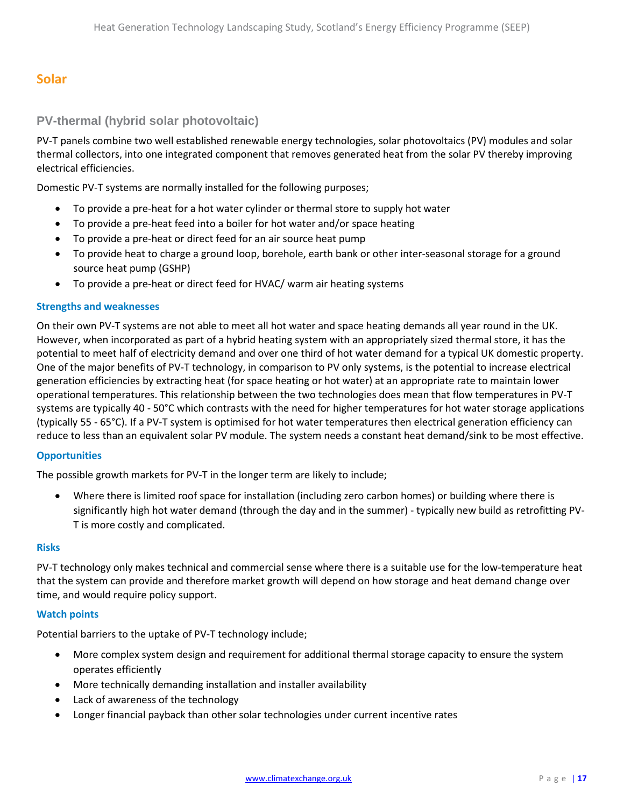# <span id="page-16-0"></span>**Solar**

### **PV-thermal (hybrid solar photovoltaic)**

PV-T panels combine two well established renewable energy technologies, solar photovoltaics (PV) modules and solar thermal collectors, into one integrated component that removes generated heat from the solar PV thereby improving electrical efficiencies.

Domestic PV-T systems are normally installed for the following purposes;

- To provide a pre-heat for a hot water cylinder or thermal store to supply hot water
- To provide a pre-heat feed into a boiler for hot water and/or space heating
- To provide a pre-heat or direct feed for an air source heat pump
- To provide heat to charge a ground loop, borehole, earth bank or other inter-seasonal storage for a ground source heat pump (GSHP)
- To provide a pre-heat or direct feed for HVAC/ warm air heating systems

### **Strengths and weaknesses**

On their own PV-T systems are not able to meet all hot water and space heating demands all year round in the UK. However, when incorporated as part of a hybrid heating system with an appropriately sized thermal store, it has the potential to meet half of electricity demand and over one third of hot water demand for a typical UK domestic property. One of the major benefits of PV-T technology, in comparison to PV only systems, is the potential to increase electrical generation efficiencies by extracting heat (for space heating or hot water) at an appropriate rate to maintain lower operational temperatures. This relationship between the two technologies does mean that flow temperatures in PV-T systems are typically 40 - 50°C which contrasts with the need for higher temperatures for hot water storage applications (typically 55 - 65°C). If a PV-T system is optimised for hot water temperatures then electrical generation efficiency can reduce to less than an equivalent solar PV module. The system needs a constant heat demand/sink to be most effective.

#### **Opportunities**

The possible growth markets for PV-T in the longer term are likely to include;

• Where there is limited roof space for installation (including zero carbon homes) or building where there is significantly high hot water demand (through the day and in the summer) - typically new build as retrofitting PV-T is more costly and complicated.

#### **Risks**

PV-T technology only makes technical and commercial sense where there is a suitable use for the low-temperature heat that the system can provide and therefore market growth will depend on how storage and heat demand change over time, and would require policy support.

#### **Watch points**

Potential barriers to the uptake of PV-T technology include;

- More complex system design and requirement for additional thermal storage capacity to ensure the system operates efficiently
- More technically demanding installation and installer availability
- Lack of awareness of the technology
- Longer financial payback than other solar technologies under current incentive rates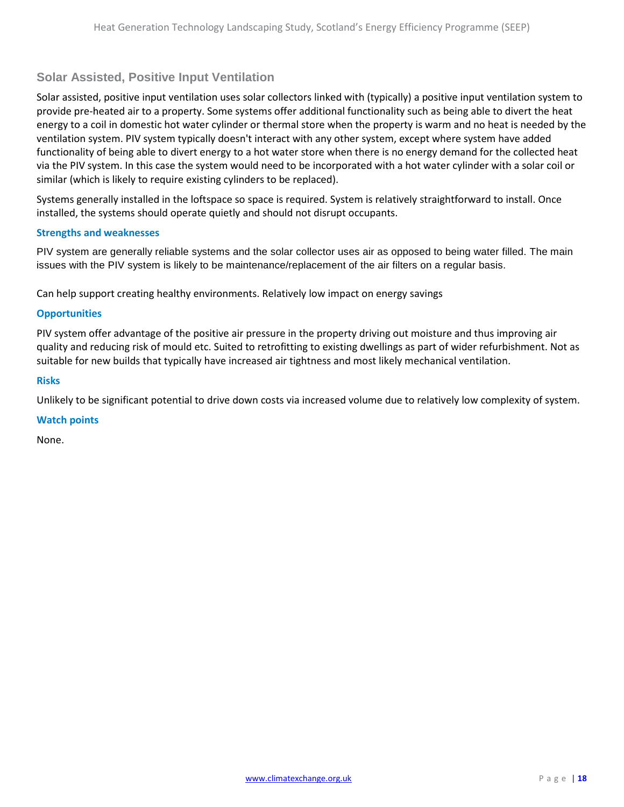### **Solar Assisted, Positive Input Ventilation**

Solar assisted, positive input ventilation uses solar collectors linked with (typically) a positive input ventilation system to provide pre-heated air to a property. Some systems offer additional functionality such as being able to divert the heat energy to a coil in domestic hot water cylinder or thermal store when the property is warm and no heat is needed by the ventilation system. PIV system typically doesn't interact with any other system, except where system have added functionality of being able to divert energy to a hot water store when there is no energy demand for the collected heat via the PIV system. In this case the system would need to be incorporated with a hot water cylinder with a solar coil or similar (which is likely to require existing cylinders to be replaced).

Systems generally installed in the loftspace so space is required. System is relatively straightforward to install. Once installed, the systems should operate quietly and should not disrupt occupants.

### **Strengths and weaknesses**

PIV system are generally reliable systems and the solar collector uses air as opposed to being water filled. The main issues with the PIV system is likely to be maintenance/replacement of the air filters on a regular basis.

Can help support creating healthy environments. Relatively low impact on energy savings

#### **Opportunities**

PIV system offer advantage of the positive air pressure in the property driving out moisture and thus improving air quality and reducing risk of mould etc. Suited to retrofitting to existing dwellings as part of wider refurbishment. Not as suitable for new builds that typically have increased air tightness and most likely mechanical ventilation.

#### **Risks**

Unlikely to be significant potential to drive down costs via increased volume due to relatively low complexity of system.

#### **Watch points**

None.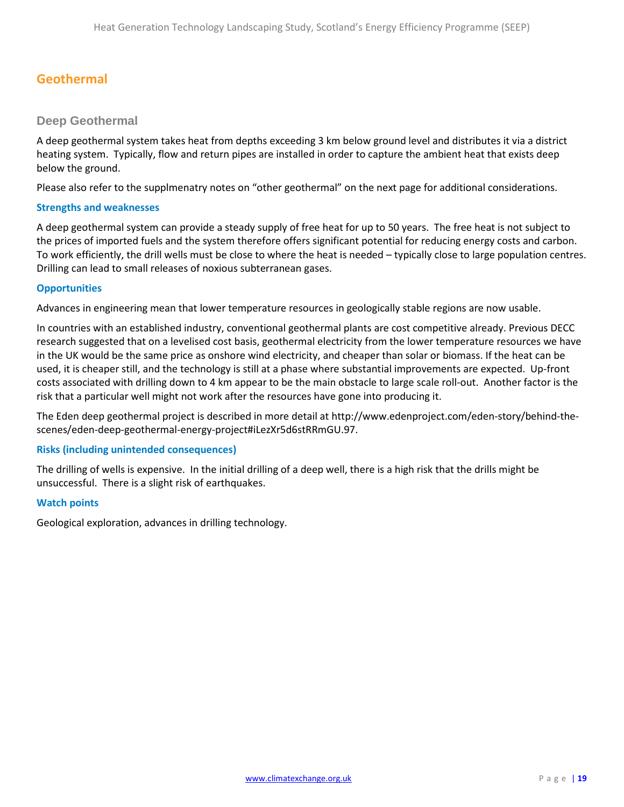# <span id="page-18-0"></span>**Geothermal**

### **Deep Geothermal**

A deep geothermal system takes heat from depths exceeding 3 km below ground level and distributes it via a district heating system. Typically, flow and return pipes are installed in order to capture the ambient heat that exists deep below the ground.

Please also refer to the supplmenatry notes on "other geothermal" on the next page for additional considerations.

### **Strengths and weaknesses**

A deep geothermal system can provide a steady supply of free heat for up to 50 years. The free heat is not subject to the prices of imported fuels and the system therefore offers significant potential for reducing energy costs and carbon. To work efficiently, the drill wells must be close to where the heat is needed – typically close to large population centres. Drilling can lead to small releases of noxious subterranean gases.

### **Opportunities**

Advances in engineering mean that lower temperature resources in geologically stable regions are now usable.

In countries with an established industry, conventional geothermal plants are cost competitive already. Previous DECC research suggested that on a levelised cost basis, geothermal electricity from the lower temperature resources we have in the UK would be the same price as onshore wind electricity, and cheaper than solar or biomass. If the heat can be used, it is cheaper still, and the technology is still at a phase where substantial improvements are expected. Up-front costs associated with drilling down to 4 km appear to be the main obstacle to large scale roll-out. Another factor is the risk that a particular well might not work after the resources have gone into producing it.

The Eden deep geothermal project is described in more detail at http://www.edenproject.com/eden-story/behind-thescenes/eden-deep-geothermal-energy-project#iLezXr5d6stRRmGU.97.

### **Risks (including unintended consequences)**

The drilling of wells is expensive. In the initial drilling of a deep well, there is a high risk that the drills might be unsuccessful. There is a slight risk of earthquakes.

### **Watch points**

Geological exploration, advances in drilling technology.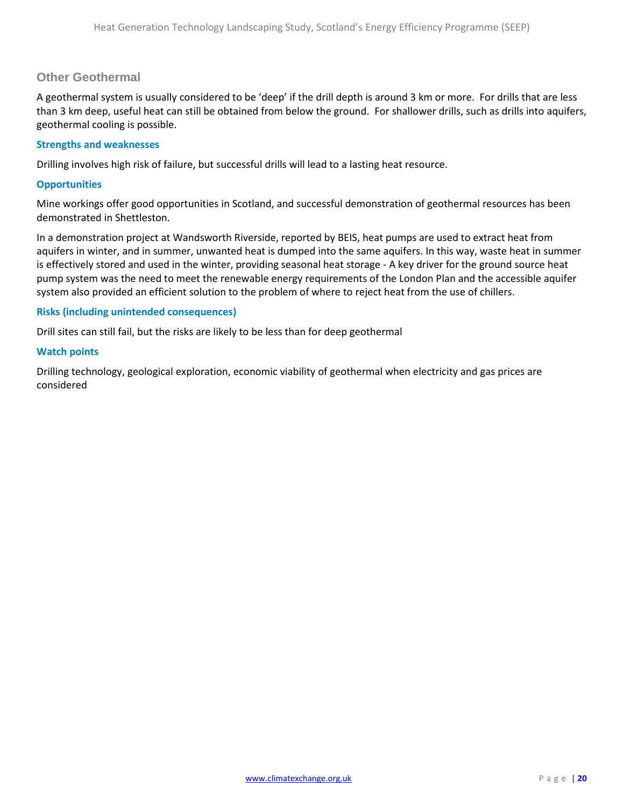### **Other Geothermal**

A geothermal system is usually considered to be 'deep' if the drill depth is around 3 km or more. For drills that are less than 3 km deep, useful heat can still be obtained from below the ground. For shallower drills, such as drills into aquifers, geothermal cooling is possible.

### **Strengths and weaknesses**

Drilling involves high risk of failure, but successful drills will lead to a lasting heat resource.

### **Opportunities**

Mine workings offer good opportunities in Scotland, and successful demonstration of geothermal resources has been demonstrated in Shettleston.

In a demonstration project at Wandsworth Riverside, reported by BEIS, heat pumps are used to extract heat from aquifers in winter, and in summer, unwanted heat is dumped into the same aquifers. In this way, waste heat in summer is effectively stored and used in the winter, providing seasonal heat storage - A key driver for the ground source heat pump system was the need to meet the renewable energy requirements of the London Plan and the accessible aquifer system also provided an efficient solution to the problem of where to reject heat from the use of chillers.

### **Risks (including unintended consequences)**

Drill sites can still fail, but the risks are likely to be less than for deep geothermal

#### **Watch points**

Drilling technology, geological exploration, economic viability of geothermal when electricity and gas prices are considered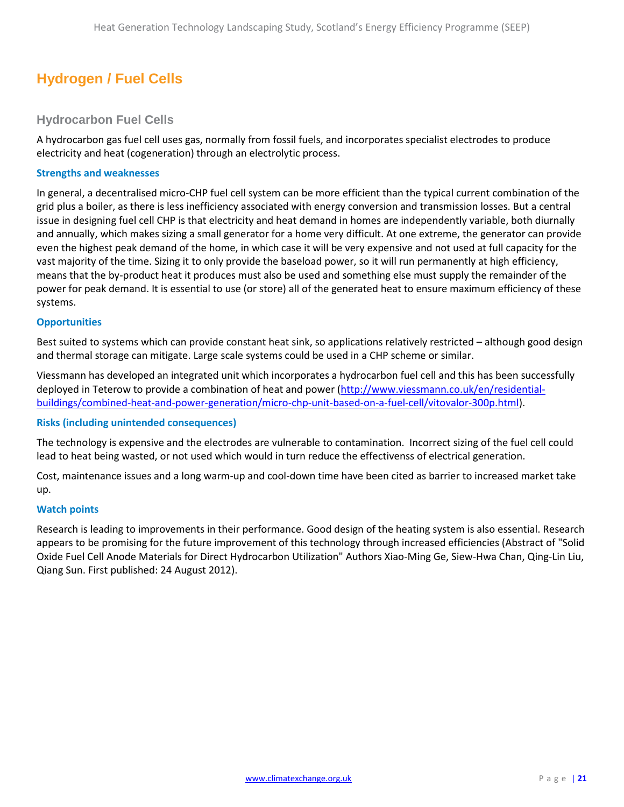# <span id="page-20-0"></span>**Hydrogen / Fuel Cells**

### **Hydrocarbon Fuel Cells**

A hydrocarbon gas fuel cell uses gas, normally from fossil fuels, and incorporates specialist electrodes to produce electricity and heat (cogeneration) through an electrolytic process.

### **Strengths and weaknesses**

In general, a decentralised micro-CHP fuel cell system can be more efficient than the typical current combination of the grid plus a boiler, as there is less inefficiency associated with energy conversion and transmission losses. But a central issue in designing fuel cell CHP is that electricity and heat demand in homes are independently variable, both diurnally and annually, which makes sizing a small generator for a home very difficult. At one extreme, the generator can provide even the highest peak demand of the home, in which case it will be very expensive and not used at full capacity for the vast majority of the time. Sizing it to only provide the baseload power, so it will run permanently at high efficiency, means that the by-product heat it produces must also be used and something else must supply the remainder of the power for peak demand. It is essential to use (or store) all of the generated heat to ensure maximum efficiency of these systems.

### **Opportunities**

Best suited to systems which can provide constant heat sink, so applications relatively restricted – although good design and thermal storage can mitigate. Large scale systems could be used in a CHP scheme or similar.

Viessmann has developed an integrated unit which incorporates a hydrocarbon fuel cell and this has been successfully deployed in Teterow to provide a combination of heat and power [\(http://www.viessmann.co.uk/en/residential](http://www.viessmann.co.uk/en/residential-buildings/combined-heat-and-power-generation/micro-chp-unit-based-on-a-fuel-cell/vitovalor-300p.html)[buildings/combined-heat-and-power-generation/micro-chp-unit-based-on-a-fuel-cell/vitovalor-300p.html\)](http://www.viessmann.co.uk/en/residential-buildings/combined-heat-and-power-generation/micro-chp-unit-based-on-a-fuel-cell/vitovalor-300p.html).

### **Risks (including unintended consequences)**

The technology is expensive and the electrodes are vulnerable to contamination. Incorrect sizing of the fuel cell could lead to heat being wasted, or not used which would in turn reduce the effectivenss of electrical generation.

Cost, maintenance issues and a long warm-up and cool-down time have been cited as barrier to increased market take up.

### **Watch points**

Research is leading to improvements in their performance. Good design of the heating system is also essential. Research appears to be promising for the future improvement of this technology through increased efficiencies (Abstract of "Solid Oxide Fuel Cell Anode Materials for Direct Hydrocarbon Utilization" Authors Xiao-Ming Ge, Siew-Hwa Chan, Qing-Lin Liu, Qiang Sun. First published: 24 August 2012).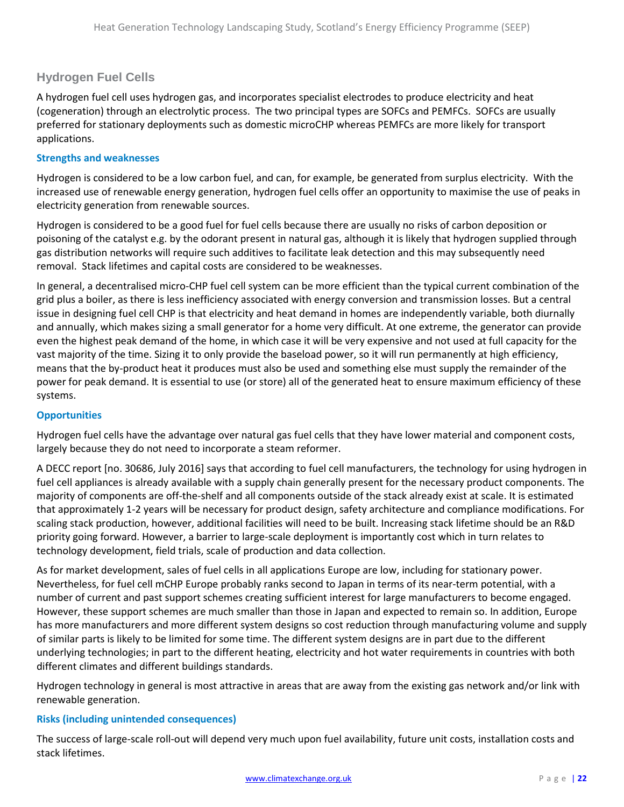### **Hydrogen Fuel Cells**

A hydrogen fuel cell uses hydrogen gas, and incorporates specialist electrodes to produce electricity and heat (cogeneration) through an electrolytic process. The two principal types are SOFCs and PEMFCs. SOFCs are usually preferred for stationary deployments such as domestic microCHP whereas PEMFCs are more likely for transport applications.

### **Strengths and weaknesses**

Hydrogen is considered to be a low carbon fuel, and can, for example, be generated from surplus electricity. With the increased use of renewable energy generation, hydrogen fuel cells offer an opportunity to maximise the use of peaks in electricity generation from renewable sources.

Hydrogen is considered to be a good fuel for fuel cells because there are usually no risks of carbon deposition or poisoning of the catalyst e.g. by the odorant present in natural gas, although it is likely that hydrogen supplied through gas distribution networks will require such additives to facilitate leak detection and this may subsequently need removal. Stack lifetimes and capital costs are considered to be weaknesses.

In general, a decentralised micro-CHP fuel cell system can be more efficient than the typical current combination of the grid plus a boiler, as there is less inefficiency associated with energy conversion and transmission losses. But a central issue in designing fuel cell CHP is that electricity and heat demand in homes are independently variable, both diurnally and annually, which makes sizing a small generator for a home very difficult. At one extreme, the generator can provide even the highest peak demand of the home, in which case it will be very expensive and not used at full capacity for the vast majority of the time. Sizing it to only provide the baseload power, so it will run permanently at high efficiency, means that the by-product heat it produces must also be used and something else must supply the remainder of the power for peak demand. It is essential to use (or store) all of the generated heat to ensure maximum efficiency of these systems.

### **Opportunities**

Hydrogen fuel cells have the advantage over natural gas fuel cells that they have lower material and component costs, largely because they do not need to incorporate a steam reformer.

A DECC report [no. 30686, July 2016] says that according to fuel cell manufacturers, the technology for using hydrogen in fuel cell appliances is already available with a supply chain generally present for the necessary product components. The majority of components are off-the-shelf and all components outside of the stack already exist at scale. It is estimated that approximately 1-2 years will be necessary for product design, safety architecture and compliance modifications. For scaling stack production, however, additional facilities will need to be built. Increasing stack lifetime should be an R&D priority going forward. However, a barrier to large-scale deployment is importantly cost which in turn relates to technology development, field trials, scale of production and data collection.

As for market development, sales of fuel cells in all applications Europe are low, including for stationary power. Nevertheless, for fuel cell mCHP Europe probably ranks second to Japan in terms of its near-term potential, with a number of current and past support schemes creating sufficient interest for large manufacturers to become engaged. However, these support schemes are much smaller than those in Japan and expected to remain so. In addition, Europe has more manufacturers and more different system designs so cost reduction through manufacturing volume and supply of similar parts is likely to be limited for some time. The different system designs are in part due to the different underlying technologies; in part to the different heating, electricity and hot water requirements in countries with both different climates and different buildings standards.

Hydrogen technology in general is most attractive in areas that are away from the existing gas network and/or link with renewable generation.

### **Risks (including unintended consequences)**

The success of large-scale roll-out will depend very much upon fuel availability, future unit costs, installation costs and stack lifetimes.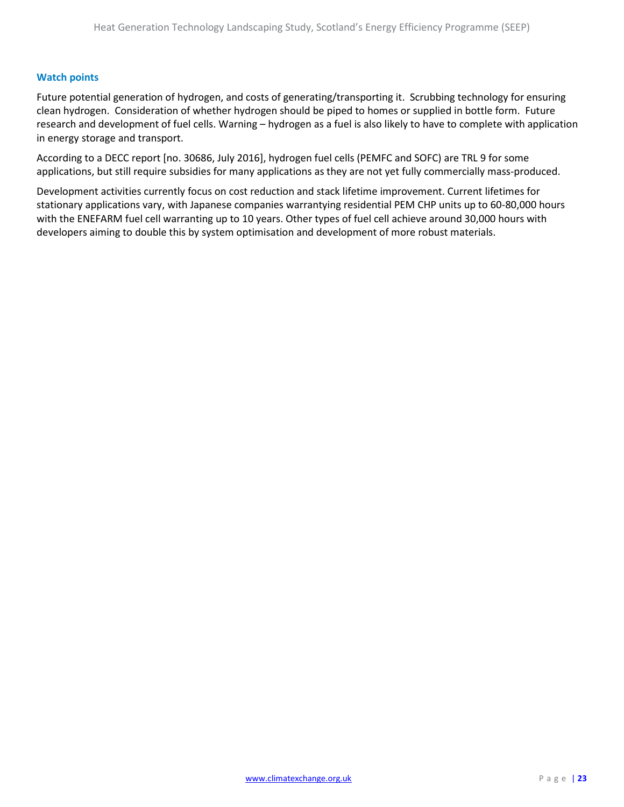### **Watch points**

Future potential generation of hydrogen, and costs of generating/transporting it. Scrubbing technology for ensuring clean hydrogen. Consideration of whether hydrogen should be piped to homes or supplied in bottle form. Future research and development of fuel cells. Warning – hydrogen as a fuel is also likely to have to complete with application in energy storage and transport.

According to a DECC report [no. 30686, July 2016], hydrogen fuel cells (PEMFC and SOFC) are TRL 9 for some applications, but still require subsidies for many applications as they are not yet fully commercially mass-produced.

Development activities currently focus on cost reduction and stack lifetime improvement. Current lifetimes for stationary applications vary, with Japanese companies warrantying residential PEM CHP units up to 60-80,000 hours with the ENEFARM fuel cell warranting up to 10 years. Other types of fuel cell achieve around 30,000 hours with developers aiming to double this by system optimisation and development of more robust materials.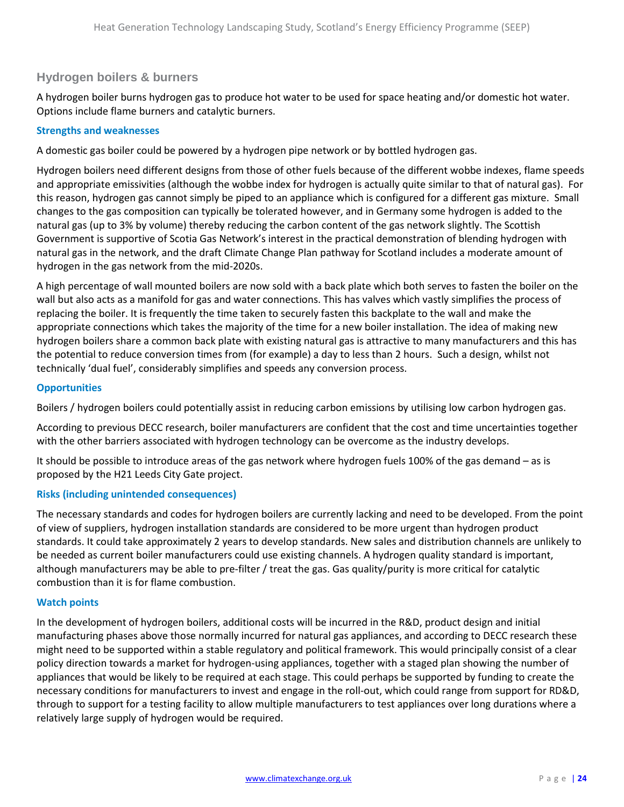### **Hydrogen boilers & burners**

A hydrogen boiler burns hydrogen gas to produce hot water to be used for space heating and/or domestic hot water. Options include flame burners and catalytic burners.

### **Strengths and weaknesses**

A domestic gas boiler could be powered by a hydrogen pipe network or by bottled hydrogen gas.

Hydrogen boilers need different designs from those of other fuels because of the different wobbe indexes, flame speeds and appropriate emissivities (although the wobbe index for hydrogen is actually quite similar to that of natural gas). For this reason, hydrogen gas cannot simply be piped to an appliance which is configured for a different gas mixture. Small changes to the gas composition can typically be tolerated however, and in Germany some hydrogen is added to the natural gas (up to 3% by volume) thereby reducing the carbon content of the gas network slightly. The Scottish Government is supportive of Scotia Gas Network's interest in the practical demonstration of blending hydrogen with natural gas in the network, and the draft Climate Change Plan pathway for Scotland includes a moderate amount of hydrogen in the gas network from the mid-2020s.

A high percentage of wall mounted boilers are now sold with a back plate which both serves to fasten the boiler on the wall but also acts as a manifold for gas and water connections. This has valves which vastly simplifies the process of replacing the boiler. It is frequently the time taken to securely fasten this backplate to the wall and make the appropriate connections which takes the majority of the time for a new boiler installation. The idea of making new hydrogen boilers share a common back plate with existing natural gas is attractive to many manufacturers and this has the potential to reduce conversion times from (for example) a day to less than 2 hours. Such a design, whilst not technically 'dual fuel', considerably simplifies and speeds any conversion process.

### **Opportunities**

Boilers / hydrogen boilers could potentially assist in reducing carbon emissions by utilising low carbon hydrogen gas.

According to previous DECC research, boiler manufacturers are confident that the cost and time uncertainties together with the other barriers associated with hydrogen technology can be overcome as the industry develops.

It should be possible to introduce areas of the gas network where hydrogen fuels 100% of the gas demand – as is proposed by the H21 Leeds City Gate project.

### **Risks (including unintended consequences)**

The necessary standards and codes for hydrogen boilers are currently lacking and need to be developed. From the point of view of suppliers, hydrogen installation standards are considered to be more urgent than hydrogen product standards. It could take approximately 2 years to develop standards. New sales and distribution channels are unlikely to be needed as current boiler manufacturers could use existing channels. A hydrogen quality standard is important, although manufacturers may be able to pre-filter / treat the gas. Gas quality/purity is more critical for catalytic combustion than it is for flame combustion.

### **Watch points**

In the development of hydrogen boilers, additional costs will be incurred in the R&D, product design and initial manufacturing phases above those normally incurred for natural gas appliances, and according to DECC research these might need to be supported within a stable regulatory and political framework. This would principally consist of a clear policy direction towards a market for hydrogen-using appliances, together with a staged plan showing the number of appliances that would be likely to be required at each stage. This could perhaps be supported by funding to create the necessary conditions for manufacturers to invest and engage in the roll-out, which could range from support for RD&D, through to support for a testing facility to allow multiple manufacturers to test appliances over long durations where a relatively large supply of hydrogen would be required.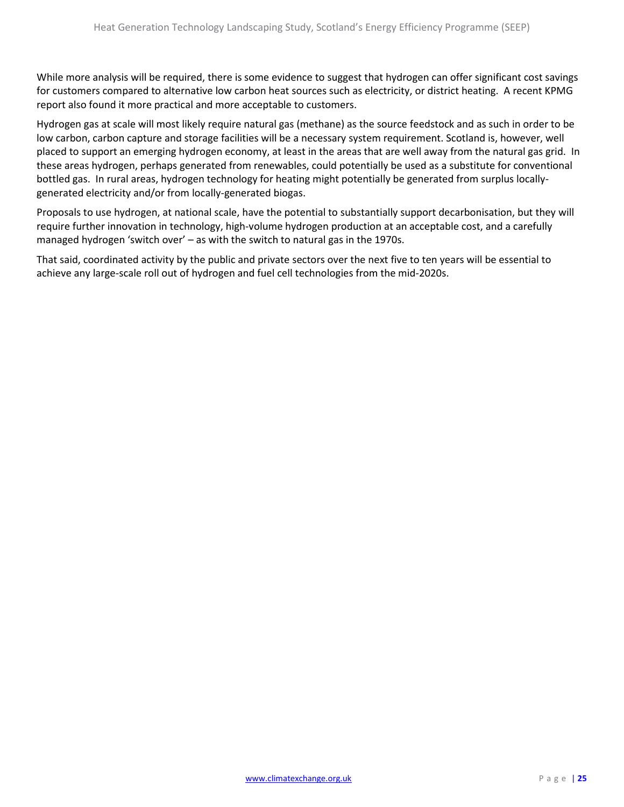While more analysis will be required, there is some evidence to suggest that hydrogen can offer significant cost savings for customers compared to alternative low carbon heat sources such as electricity, or district heating. A recent KPMG report also found it more practical and more acceptable to customers.

Hydrogen gas at scale will most likely require natural gas (methane) as the source feedstock and as such in order to be low carbon, carbon capture and storage facilities will be a necessary system requirement. Scotland is, however, well placed to support an emerging hydrogen economy, at least in the areas that are well away from the natural gas grid. In these areas hydrogen, perhaps generated from renewables, could potentially be used as a substitute for conventional bottled gas. In rural areas, hydrogen technology for heating might potentially be generated from surplus locallygenerated electricity and/or from locally-generated biogas.

Proposals to use hydrogen, at national scale, have the potential to substantially support decarbonisation, but they will require further innovation in technology, high-volume hydrogen production at an acceptable cost, and a carefully managed hydrogen 'switch over' – as with the switch to natural gas in the 1970s.

That said, coordinated activity by the public and private sectors over the next five to ten years will be essential to achieve any large-scale roll out of hydrogen and fuel cell technologies from the mid-2020s.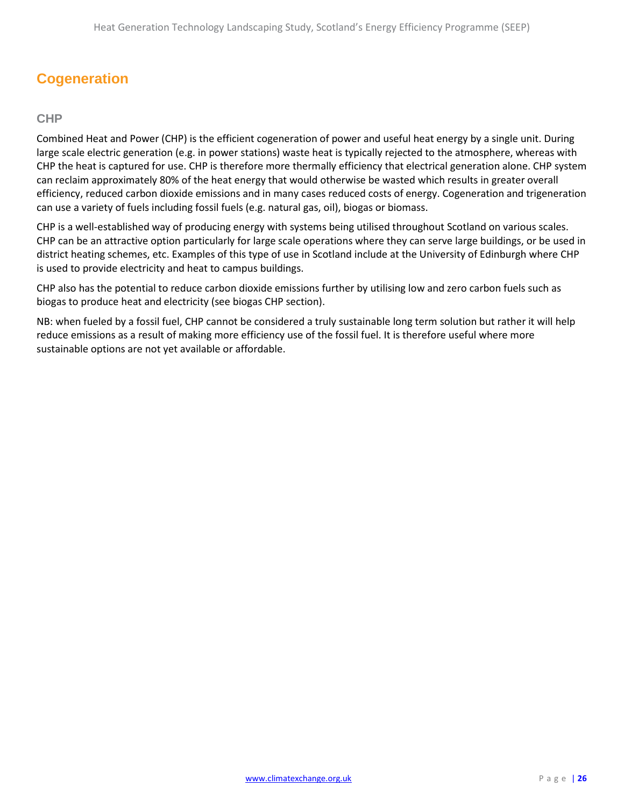# <span id="page-25-0"></span>**Cogeneration**

### **CHP**

Combined Heat and Power (CHP) is the efficient cogeneration of power and useful heat energy by a single unit. During large scale electric generation (e.g. in power stations) waste heat is typically rejected to the atmosphere, whereas with CHP the heat is captured for use. CHP is therefore more thermally efficiency that electrical generation alone. CHP system can reclaim approximately 80% of the heat energy that would otherwise be wasted which results in greater overall efficiency, reduced carbon dioxide emissions and in many cases reduced costs of energy. Cogeneration and trigeneration can use a variety of fuels including fossil fuels (e.g. natural gas, oil), biogas or biomass.

CHP is a well-established way of producing energy with systems being utilised throughout Scotland on various scales. CHP can be an attractive option particularly for large scale operations where they can serve large buildings, or be used in district heating schemes, etc. Examples of this type of use in Scotland include at the University of Edinburgh where CHP is used to provide electricity and heat to campus buildings.

CHP also has the potential to reduce carbon dioxide emissions further by utilising low and zero carbon fuels such as biogas to produce heat and electricity (see biogas CHP section).

NB: when fueled by a fossil fuel, CHP cannot be considered a truly sustainable long term solution but rather it will help reduce emissions as a result of making more efficiency use of the fossil fuel. It is therefore useful where more sustainable options are not yet available or affordable.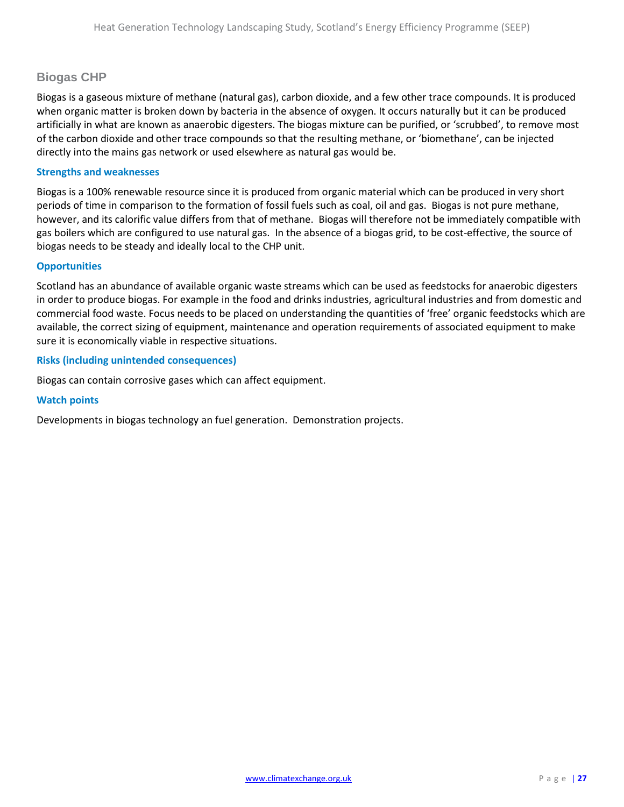### **Biogas CHP**

Biogas is a gaseous mixture of methane (natural gas), carbon dioxide, and a few other trace compounds. It is produced when organic matter is broken down by bacteria in the absence of oxygen. It occurs naturally but it can be produced artificially in what are known as anaerobic digesters. The biogas mixture can be purified, or 'scrubbed', to remove most of the carbon dioxide and other trace compounds so that the resulting methane, or 'biomethane', can be injected directly into the mains gas network or used elsewhere as natural gas would be.

### **Strengths and weaknesses**

Biogas is a 100% renewable resource since it is produced from organic material which can be produced in very short periods of time in comparison to the formation of fossil fuels such as coal, oil and gas. Biogas is not pure methane, however, and its calorific value differs from that of methane. Biogas will therefore not be immediately compatible with gas boilers which are configured to use natural gas. In the absence of a biogas grid, to be cost-effective, the source of biogas needs to be steady and ideally local to the CHP unit.

### **Opportunities**

Scotland has an abundance of available organic waste streams which can be used as feedstocks for anaerobic digesters in order to produce biogas. For example in the food and drinks industries, agricultural industries and from domestic and commercial food waste. Focus needs to be placed on understanding the quantities of 'free' organic feedstocks which are available, the correct sizing of equipment, maintenance and operation requirements of associated equipment to make sure it is economically viable in respective situations.

### **Risks (including unintended consequences)**

Biogas can contain corrosive gases which can affect equipment.

#### **Watch points**

Developments in biogas technology an fuel generation. Demonstration projects.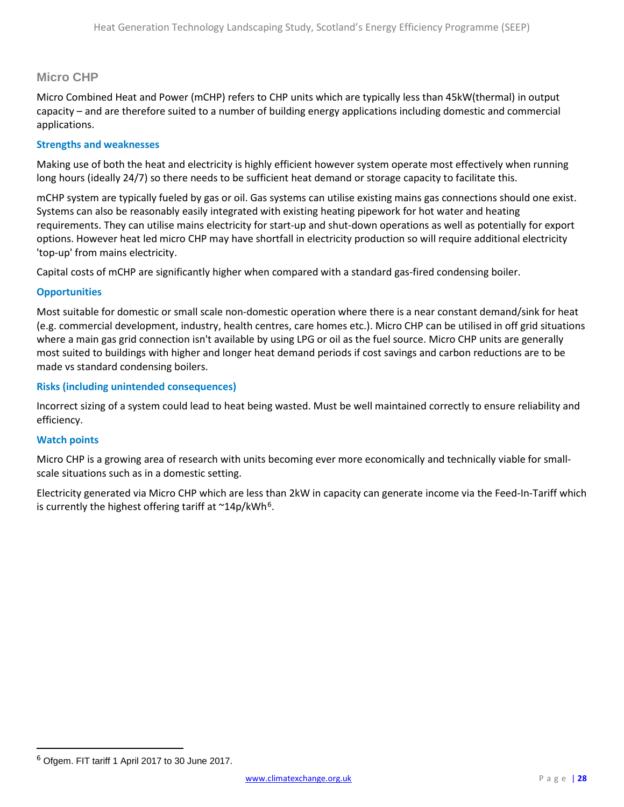### **Micro CHP**

Micro Combined Heat and Power (mCHP) refers to CHP units which are typically less than 45kW(thermal) in output capacity – and are therefore suited to a number of building energy applications including domestic and commercial applications.

### **Strengths and weaknesses**

Making use of both the heat and electricity is highly efficient however system operate most effectively when running long hours (ideally 24/7) so there needs to be sufficient heat demand or storage capacity to facilitate this.

mCHP system are typically fueled by gas or oil. Gas systems can utilise existing mains gas connections should one exist. Systems can also be reasonably easily integrated with existing heating pipework for hot water and heating requirements. They can utilise mains electricity for start-up and shut-down operations as well as potentially for export options. However heat led micro CHP may have shortfall in electricity production so will require additional electricity 'top-up' from mains electricity.

Capital costs of mCHP are significantly higher when compared with a standard gas-fired condensing boiler.

### **Opportunities**

Most suitable for domestic or small scale non-domestic operation where there is a near constant demand/sink for heat (e.g. commercial development, industry, health centres, care homes etc.). Micro CHP can be utilised in off grid situations where a main gas grid connection isn't available by using LPG or oil as the fuel source. Micro CHP units are generally most suited to buildings with higher and longer heat demand periods if cost savings and carbon reductions are to be made vs standard condensing boilers.

### **Risks (including unintended consequences)**

Incorrect sizing of a system could lead to heat being wasted. Must be well maintained correctly to ensure reliability and efficiency.

### **Watch points**

 $\overline{\phantom{a}}$ 

Micro CHP is a growing area of research with units becoming ever more economically and technically viable for smallscale situations such as in a domestic setting.

Electricity generated via Micro CHP which are less than 2kW in capacity can generate income via the Feed-In-Tariff which is currently the highest offering tariff at  $\gamma$ 14p/kWh<sup>[6](#page-27-0)</sup>.

<span id="page-27-0"></span><sup>6</sup> Ofgem. FIT tariff 1 April 2017 to 30 June 2017.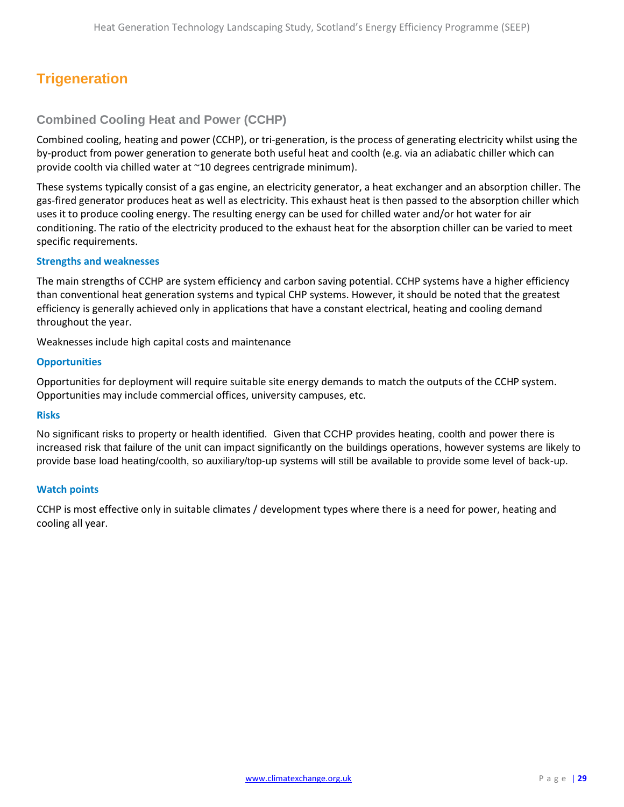# <span id="page-28-0"></span>**Trigeneration**

### **Combined Cooling Heat and Power (CCHP)**

Combined cooling, heating and power (CCHP), or tri-generation, is the process of generating electricity whilst using the by-product from power generation to generate both useful heat and coolth (e.g. via an adiabatic chiller which can provide coolth via chilled water at ~10 degrees centrigrade minimum).

These systems typically consist of a gas engine, an electricity generator, a heat exchanger and an absorption chiller. The gas-fired generator produces heat as well as electricity. This exhaust heat is then passed to the absorption chiller which uses it to produce cooling energy. The resulting energy can be used for chilled water and/or hot water for air conditioning. The ratio of the electricity produced to the exhaust heat for the absorption chiller can be varied to meet specific requirements.

### **Strengths and weaknesses**

The main strengths of CCHP are system efficiency and carbon saving potential. CCHP systems have a higher efficiency than conventional heat generation systems and typical CHP systems. However, it should be noted that the greatest efficiency is generally achieved only in applications that have a constant electrical, heating and cooling demand throughout the year.

Weaknesses include high capital costs and maintenance

### **Opportunities**

Opportunities for deployment will require suitable site energy demands to match the outputs of the CCHP system. Opportunities may include commercial offices, university campuses, etc.

#### **Risks**

No significant risks to property or health identified. Given that CCHP provides heating, coolth and power there is increased risk that failure of the unit can impact significantly on the buildings operations, however systems are likely to provide base load heating/coolth, so auxiliary/top-up systems will still be available to provide some level of back-up.

#### **Watch points**

CCHP is most effective only in suitable climates / development types where there is a need for power, heating and cooling all year.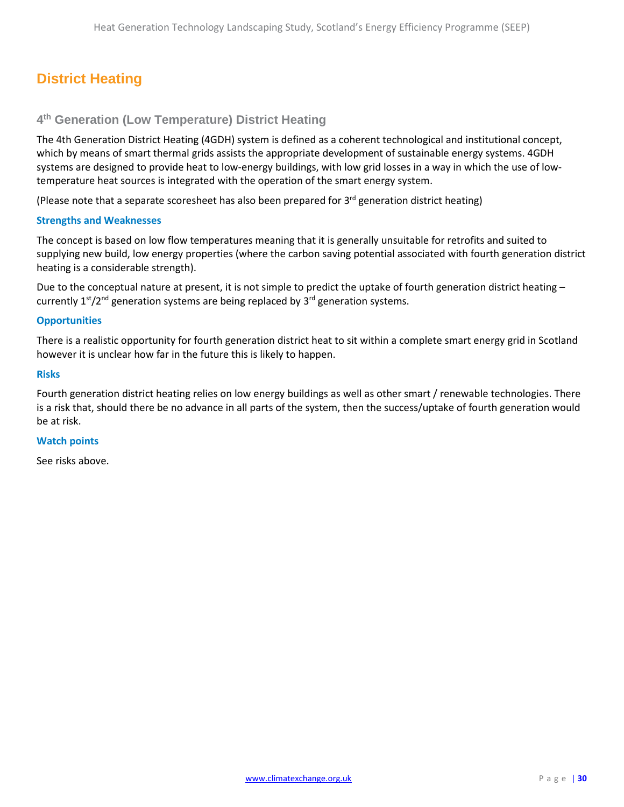# <span id="page-29-0"></span>**District Heating**

### **4th Generation (Low Temperature) District Heating**

The 4th Generation District Heating (4GDH) system is defined as a coherent technological and institutional concept, which by means of smart thermal grids assists the appropriate development of sustainable energy systems. 4GDH systems are designed to provide heat to low-energy buildings, with low grid losses in a way in which the use of lowtemperature heat sources is integrated with the operation of the smart energy system.

(Please note that a separate scoresheet has also been prepared for  $3<sup>rd</sup>$  generation district heating)

### **Strengths and Weaknesses**

The concept is based on low flow temperatures meaning that it is generally unsuitable for retrofits and suited to supplying new build, low energy properties (where the carbon saving potential associated with fourth generation district heating is a considerable strength).

Due to the conceptual nature at present, it is not simple to predict the uptake of fourth generation district heating – currently  $1<sup>st</sup>/2<sup>nd</sup>$  generation systems are being replaced by  $3<sup>rd</sup>$  generation systems.

### **Opportunities**

There is a realistic opportunity for fourth generation district heat to sit within a complete smart energy grid in Scotland however it is unclear how far in the future this is likely to happen.

#### **Risks**

Fourth generation district heating relies on low energy buildings as well as other smart / renewable technologies. There is a risk that, should there be no advance in all parts of the system, then the success/uptake of fourth generation would be at risk.

#### **Watch points**

See risks above.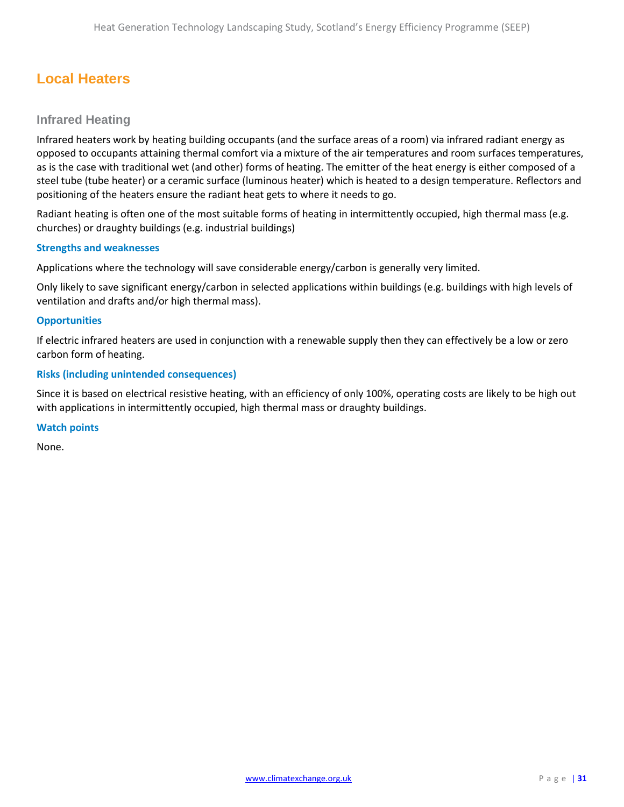# <span id="page-30-0"></span>**Local Heaters**

### **Infrared Heating**

Infrared heaters work by heating building occupants (and the surface areas of a room) via infrared radiant energy as opposed to occupants attaining thermal comfort via a mixture of the air temperatures and room surfaces temperatures, as is the case with traditional wet (and other) forms of heating. The emitter of the heat energy is either composed of a steel tube (tube heater) or a ceramic surface (luminous heater) which is heated to a design temperature. Reflectors and positioning of the heaters ensure the radiant heat gets to where it needs to go.

Radiant heating is often one of the most suitable forms of heating in intermittently occupied, high thermal mass (e.g. churches) or draughty buildings (e.g. industrial buildings)

### **Strengths and weaknesses**

Applications where the technology will save considerable energy/carbon is generally very limited.

Only likely to save significant energy/carbon in selected applications within buildings (e.g. buildings with high levels of ventilation and drafts and/or high thermal mass).

### **Opportunities**

If electric infrared heaters are used in conjunction with a renewable supply then they can effectively be a low or zero carbon form of heating.

### **Risks (including unintended consequences)**

Since it is based on electrical resistive heating, with an efficiency of only 100%, operating costs are likely to be high out with applications in intermittently occupied, high thermal mass or draughty buildings.

#### **Watch points**

None.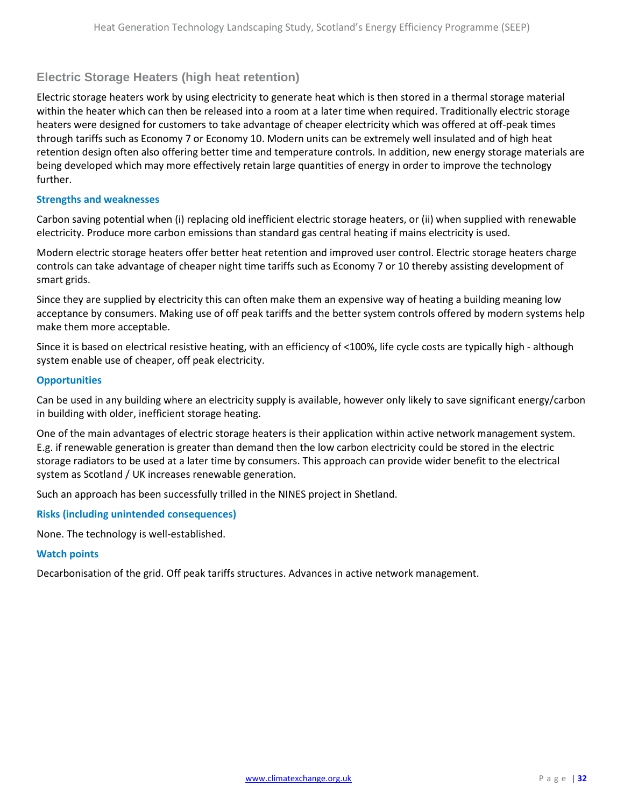### **Electric Storage Heaters (high heat retention)**

Electric storage heaters work by using electricity to generate heat which is then stored in a thermal storage material within the heater which can then be released into a room at a later time when required. Traditionally electric storage heaters were designed for customers to take advantage of cheaper electricity which was offered at off-peak times through tariffs such as Economy 7 or Economy 10. Modern units can be extremely well insulated and of high heat retention design often also offering better time and temperature controls. In addition, new energy storage materials are being developed which may more effectively retain large quantities of energy in order to improve the technology further.

### **Strengths and weaknesses**

Carbon saving potential when (i) replacing old inefficient electric storage heaters, or (ii) when supplied with renewable electricity. Produce more carbon emissions than standard gas central heating if mains electricity is used.

Modern electric storage heaters offer better heat retention and improved user control. Electric storage heaters charge controls can take advantage of cheaper night time tariffs such as Economy 7 or 10 thereby assisting development of smart grids.

Since they are supplied by electricity this can often make them an expensive way of heating a building meaning low acceptance by consumers. Making use of off peak tariffs and the better system controls offered by modern systems help make them more acceptable.

Since it is based on electrical resistive heating, with an efficiency of <100%, life cycle costs are typically high - although system enable use of cheaper, off peak electricity.

### **Opportunities**

Can be used in any building where an electricity supply is available, however only likely to save significant energy/carbon in building with older, inefficient storage heating.

One of the main advantages of electric storage heaters is their application within active network management system. E.g. if renewable generation is greater than demand then the low carbon electricity could be stored in the electric storage radiators to be used at a later time by consumers. This approach can provide wider benefit to the electrical system as Scotland / UK increases renewable generation.

Such an approach has been successfully trilled in the NINES project in Shetland.

**Risks (including unintended consequences)**

None. The technology is well-established.

### **Watch points**

Decarbonisation of the grid. Off peak tariffs structures. Advances in active network management.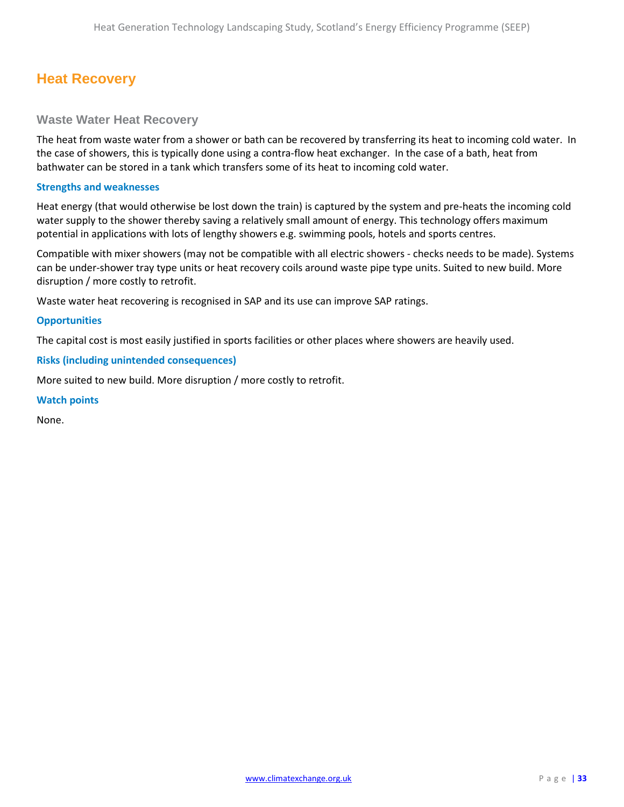# <span id="page-32-0"></span>**Heat Recovery**

### **Waste Water Heat Recovery**

The heat from waste water from a shower or bath can be recovered by transferring its heat to incoming cold water. In the case of showers, this is typically done using a contra-flow heat exchanger. In the case of a bath, heat from bathwater can be stored in a tank which transfers some of its heat to incoming cold water.

### **Strengths and weaknesses**

Heat energy (that would otherwise be lost down the train) is captured by the system and pre-heats the incoming cold water supply to the shower thereby saving a relatively small amount of energy. This technology offers maximum potential in applications with lots of lengthy showers e.g. swimming pools, hotels and sports centres.

Compatible with mixer showers (may not be compatible with all electric showers - checks needs to be made). Systems can be under-shower tray type units or heat recovery coils around waste pipe type units. Suited to new build. More disruption / more costly to retrofit.

Waste water heat recovering is recognised in SAP and its use can improve SAP ratings.

#### **Opportunities**

The capital cost is most easily justified in sports facilities or other places where showers are heavily used.

### **Risks (including unintended consequences)**

More suited to new build. More disruption / more costly to retrofit.

#### **Watch points**

None.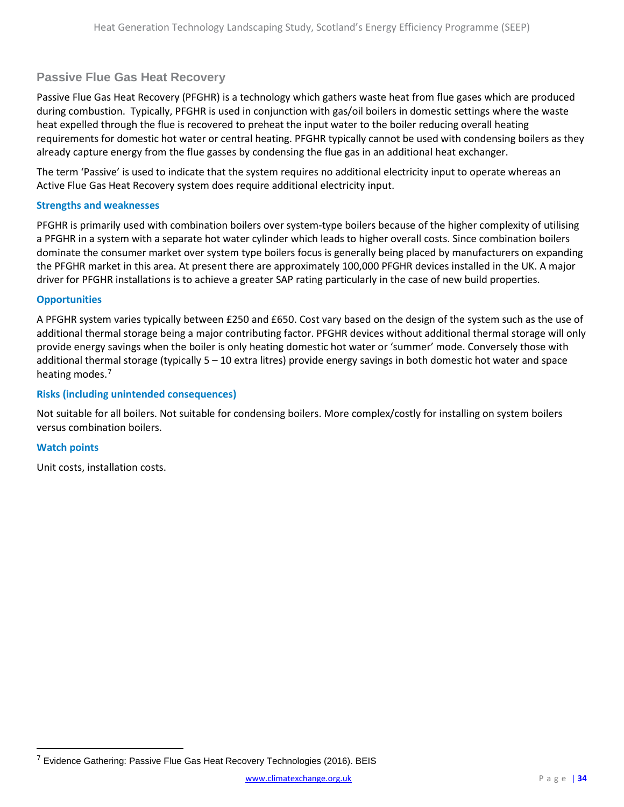### **Passive Flue Gas Heat Recovery**

Passive Flue Gas Heat Recovery (PFGHR) is a technology which gathers waste heat from flue gases which are produced during combustion. Typically, PFGHR is used in conjunction with gas/oil boilers in domestic settings where the waste heat expelled through the flue is recovered to preheat the input water to the boiler reducing overall heating requirements for domestic hot water or central heating. PFGHR typically cannot be used with condensing boilers as they already capture energy from the flue gasses by condensing the flue gas in an additional heat exchanger.

The term 'Passive' is used to indicate that the system requires no additional electricity input to operate whereas an Active Flue Gas Heat Recovery system does require additional electricity input.

### **Strengths and weaknesses**

PFGHR is primarily used with combination boilers over system-type boilers because of the higher complexity of utilising a PFGHR in a system with a separate hot water cylinder which leads to higher overall costs. Since combination boilers dominate the consumer market over system type boilers focus is generally being placed by manufacturers on expanding the PFGHR market in this area. At present there are approximately 100,000 PFGHR devices installed in the UK. A major driver for PFGHR installations is to achieve a greater SAP rating particularly in the case of new build properties.

### **Opportunities**

A PFGHR system varies typically between £250 and £650. Cost vary based on the design of the system such as the use of additional thermal storage being a major contributing factor. PFGHR devices without additional thermal storage will only provide energy savings when the boiler is only heating domestic hot water or 'summer' mode. Conversely those with additional thermal storage (typically 5 – 10 extra litres) provide energy savings in both domestic hot water and space heating modes.<sup>[7](#page-33-0)</sup>

### **Risks (including unintended consequences)**

Not suitable for all boilers. Not suitable for condensing boilers. More complex/costly for installing on system boilers versus combination boilers.

#### **Watch points**

 $\overline{\phantom{a}}$ 

Unit costs, installation costs.

<span id="page-33-0"></span> $7$  Evidence Gathering: Passive Flue Gas Heat Recovery Technologies (2016). BEIS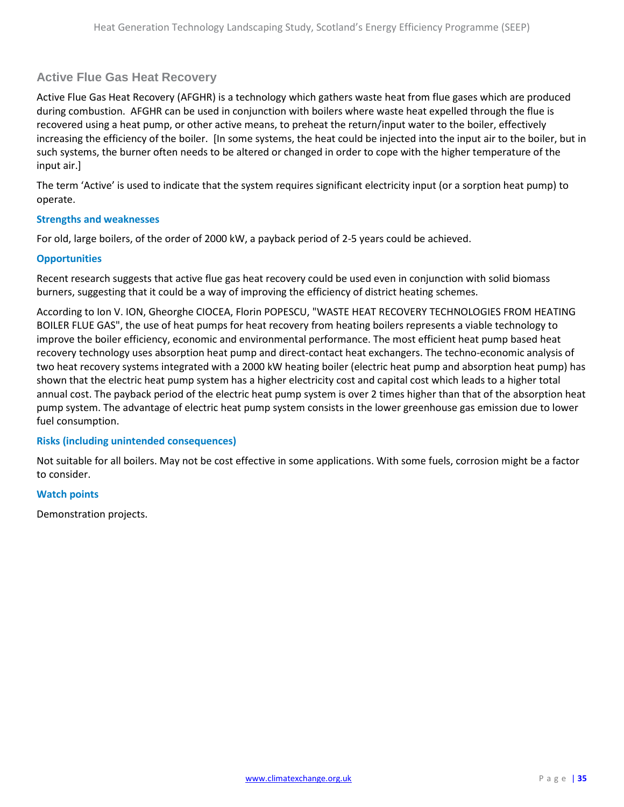### **Active Flue Gas Heat Recovery**

Active Flue Gas Heat Recovery (AFGHR) is a technology which gathers waste heat from flue gases which are produced during combustion. AFGHR can be used in conjunction with boilers where waste heat expelled through the flue is recovered using a heat pump, or other active means, to preheat the return/input water to the boiler, effectively increasing the efficiency of the boiler. [In some systems, the heat could be injected into the input air to the boiler, but in such systems, the burner often needs to be altered or changed in order to cope with the higher temperature of the input air.]

The term 'Active' is used to indicate that the system requires significant electricity input (or a sorption heat pump) to operate.

### **Strengths and weaknesses**

For old, large boilers, of the order of 2000 kW, a payback period of 2-5 years could be achieved.

### **Opportunities**

Recent research suggests that active flue gas heat recovery could be used even in conjunction with solid biomass burners, suggesting that it could be a way of improving the efficiency of district heating schemes.

According to Ion V. ION, Gheorghe CIOCEA, Florin POPESCU, "WASTE HEAT RECOVERY TECHNOLOGIES FROM HEATING BOILER FLUE GAS", the use of heat pumps for heat recovery from heating boilers represents a viable technology to improve the boiler efficiency, economic and environmental performance. The most efficient heat pump based heat recovery technology uses absorption heat pump and direct-contact heat exchangers. The techno-economic analysis of two heat recovery systems integrated with a 2000 kW heating boiler (electric heat pump and absorption heat pump) has shown that the electric heat pump system has a higher electricity cost and capital cost which leads to a higher total annual cost. The payback period of the electric heat pump system is over 2 times higher than that of the absorption heat pump system. The advantage of electric heat pump system consists in the lower greenhouse gas emission due to lower fuel consumption.

### **Risks (including unintended consequences)**

Not suitable for all boilers. May not be cost effective in some applications. With some fuels, corrosion might be a factor to consider.

### **Watch points**

Demonstration projects.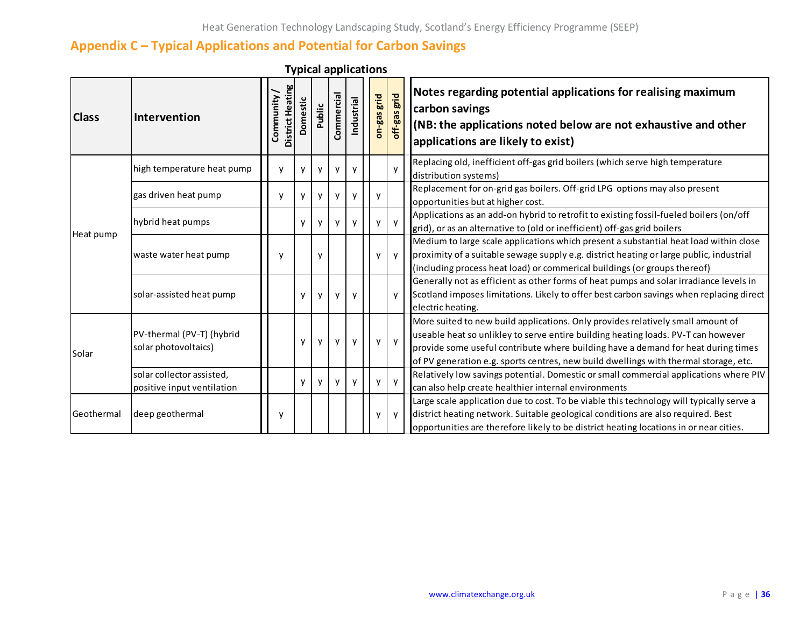# **Appendix C – Typical Applications and Potential for Carbon Savings**

<span id="page-35-0"></span>

| <b>Class</b> | Intervention                                            | District Heating<br>Community/ | Domestic | Public       | Commercial | Industrial   | on-gas grid  | off-gas grid | Notes regarding potential applications for realising maximum<br>carbon savings<br>(NB: the applications noted below are not exhaustive and other<br>applications are likely to exist)                                                                                                                                                             |
|--------------|---------------------------------------------------------|--------------------------------|----------|--------------|------------|--------------|--------------|--------------|---------------------------------------------------------------------------------------------------------------------------------------------------------------------------------------------------------------------------------------------------------------------------------------------------------------------------------------------------|
|              | high temperature heat pump                              | $\mathsf{v}$                   | y        | y            | v          | V            |              | y            | Replacing old, inefficient off-gas grid boilers (which serve high temperature<br>distribution systems)                                                                                                                                                                                                                                            |
| Heat pump    | gas driven heat pump                                    | ٧                              | y        | y            | у          | y            | y            |              | Replacement for on-grid gas boilers. Off-grid LPG options may also present<br>opportunities but at higher cost.                                                                                                                                                                                                                                   |
|              | hybrid heat pumps                                       |                                | y        | y            | v          | V            | v            | $\mathsf{y}$ | Applications as an add-on hybrid to retrofit to existing fossil-fueled boilers (on/off<br>grid), or as an alternative to (old or inefficient) off-gas grid boilers                                                                                                                                                                                |
|              | waste water heat pump                                   | ٧                              |          | y            |            |              | V            | $\mathsf{v}$ | Medium to large scale applications which present a substantial heat load within close<br>proximity of a suitable sewage supply e.g. district heating or large public, industrial<br>(including process heat load) or commerical buildings (or groups thereof)                                                                                     |
|              | solar-assisted heat pump                                |                                | y        | $\mathsf{v}$ | y          | <b>V</b>     |              | y            | Generally not as efficient as other forms of heat pumps and solar irradiance levels in<br>Scotland imposes limitations. Likely to offer best carbon savings when replacing direct<br>electric heating.                                                                                                                                            |
| Solar        | PV-thermal (PV-T) (hybrid<br>solar photovoltaics)       |                                | y        | y            | y          | y            | y            | y            | More suited to new build applications. Only provides relatively small amount of<br>useable heat so unlikley to serve entire building heating loads. PV-T can however<br>provide some useful contribute where building have a demand for heat during times<br>of PV generation e.g. sports centres, new build dwellings with thermal storage, etc. |
|              | solar collector assisted,<br>positive input ventilation |                                | y        | $\mathsf{v}$ | y          | $\mathsf{V}$ | $\mathsf{v}$ | $\mathsf{y}$ | Relatively low savings potential. Domestic or small commercial applications where PIV<br>can also help create healthier internal environments                                                                                                                                                                                                     |
| Geothermal   | deep geothermal                                         | ٧                              |          |              |            |              | V            | y            | Large scale application due to cost. To be viable this technology will typically serve a<br>district heating network. Suitable geological conditions are also required. Best<br>opportunities are therefore likely to be district heating locations in or near cities.                                                                            |

**Typical applications**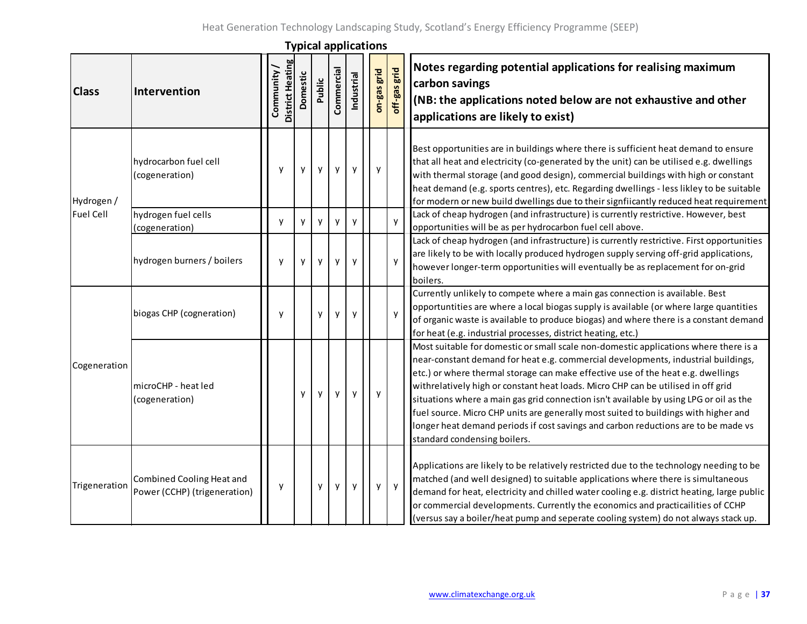|                                |                                                           |                                       |          |        |            |            | i ypicai applications |              |                                                                                                                                                                                                                                                                                                                                                                                                                                                                                                                                                                                                                                                           |
|--------------------------------|-----------------------------------------------------------|---------------------------------------|----------|--------|------------|------------|-----------------------|--------------|-----------------------------------------------------------------------------------------------------------------------------------------------------------------------------------------------------------------------------------------------------------------------------------------------------------------------------------------------------------------------------------------------------------------------------------------------------------------------------------------------------------------------------------------------------------------------------------------------------------------------------------------------------------|
| <b>Class</b>                   | Intervention                                              | <b>District Heating</b><br>Community/ | Domestic | Public | Commercial | Industrial | on-gas grid           | off-gas grid | Notes regarding potential applications for realising maximum<br>carbon savings<br>(NB: the applications noted below are not exhaustive and other<br>applications are likely to exist)                                                                                                                                                                                                                                                                                                                                                                                                                                                                     |
| Hydrogen /<br><b>Fuel Cell</b> | hydrocarbon fuel cell<br>(cogeneration)                   | y                                     | у        | y      | у          | y          | у                     |              | Best opportunities are in buildings where there is sufficient heat demand to ensure<br>that all heat and electricity (co-generated by the unit) can be utilised e.g. dwellings<br>with thermal storage (and good design), commercial buildings with high or constant<br>heat demand (e.g. sports centres), etc. Regarding dwellings - less likley to be suitable<br>for modern or new build dwellings due to their signfiicantly reduced heat requirement                                                                                                                                                                                                 |
|                                | hydrogen fuel cells<br>(cogeneration)                     | y                                     | y        | y      | y          | y          |                       | y            | Lack of cheap hydrogen (and infrastructure) is currently restrictive. However, best<br>opportunities will be as per hydrocarbon fuel cell above.                                                                                                                                                                                                                                                                                                                                                                                                                                                                                                          |
|                                | hydrogen burners / boilers                                | y                                     | y        | y      | y          | y          |                       | y            | Lack of cheap hydrogen (and infrastructure) is currently restrictive. First opportunities<br>are likely to be with locally produced hydrogen supply serving off-grid applications,<br>however longer-term opportunities will eventually be as replacement for on-grid<br>boilers.                                                                                                                                                                                                                                                                                                                                                                         |
|                                | biogas CHP (cogneration)                                  | y                                     |          | y      | y          | y          |                       | y            | Currently unlikely to compete where a main gas connection is available. Best<br>opportuntities are where a local biogas supply is available (or where large quantities<br>of organic waste is available to produce biogas) and where there is a constant demand<br>for heat (e.g. industrial processes, district heating, etc.)                                                                                                                                                                                                                                                                                                                           |
| Cogeneration                   | microCHP - heat led<br>(cogeneration)                     |                                       | у        | у      | y          | y          | y                     |              | Most suitable for domestic or small scale non-domestic applications where there is a<br>near-constant demand for heat e.g. commercial developments, industrial buildings,<br>etc.) or where thermal storage can make effective use of the heat e.g. dwellings<br>withrelatively high or constant heat loads. Micro CHP can be utilised in off grid<br>situations where a main gas grid connection isn't available by using LPG or oil as the<br>fuel source. Micro CHP units are generally most suited to buildings with higher and<br>longer heat demand periods if cost savings and carbon reductions are to be made vs<br>standard condensing boilers. |
| Trigeneration                  | Combined Cooling Heat and<br>Power (CCHP) (trigeneration) | y                                     |          | y      | y          | y          | y                     | y            | Applications are likely to be relatively restricted due to the technology needing to be<br>matched (and well designed) to suitable applications where there is simultaneous<br>demand for heat, electricity and chilled water cooling e.g. district heating, large public<br>or commercial developments. Currently the economics and practicailities of CCHP<br>(versus say a boiler/heat pump and seperate cooling system) do not always stack up.                                                                                                                                                                                                       |

**Typical applications**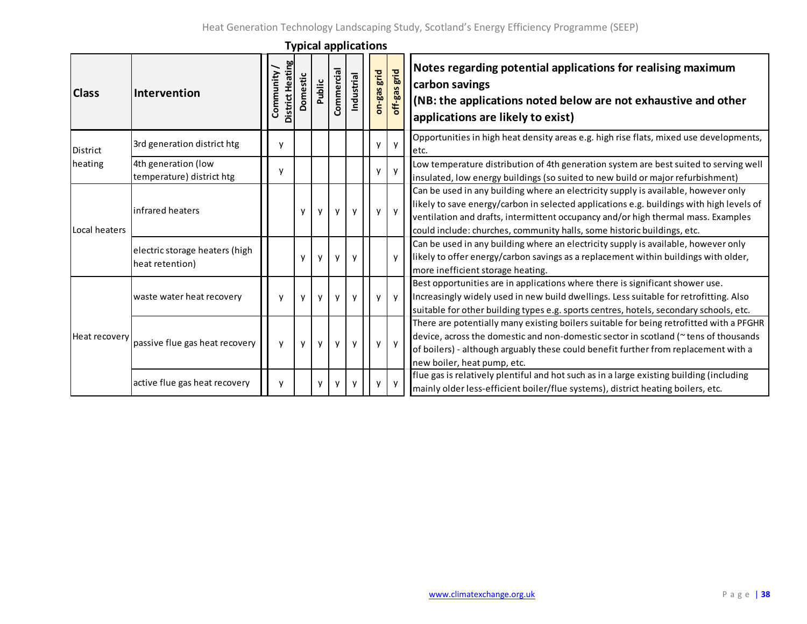| <b>Class</b>  | <b>Intervention</b>                               | District Heating<br>Community/ | Domestic | Public       | Commercial | Industrial   | on-gas grid | grid<br>$off-gas$ | Notes regarding potential applications for realising maximum<br>carbon savings<br>(NB: the applications noted below are not exhaustive and other<br>applications are likely to exist)                                                                                                                                                          |
|---------------|---------------------------------------------------|--------------------------------|----------|--------------|------------|--------------|-------------|-------------------|------------------------------------------------------------------------------------------------------------------------------------------------------------------------------------------------------------------------------------------------------------------------------------------------------------------------------------------------|
| District      | 3rd generation district htg                       | ٧                              |          |              |            |              |             | $\mathsf{y}$      | Opportunities in high heat density areas e.g. high rise flats, mixed use developments,<br>letc.                                                                                                                                                                                                                                                |
| heating       | 4th generation (low<br>temperature) district htg  | ٧                              |          |              |            |              | y           | $\mathsf{y}$      | Low temperature distribution of 4th generation system are best suited to serving well<br>insulated, low energy buildings (so suited to new build or major refurbishment)                                                                                                                                                                       |
| Local heaters | infrared heaters                                  |                                | y        | y            | у          | y            | y           | y                 | Can be used in any building where an electricity supply is available, however only<br>likely to save energy/carbon in selected applications e.g. buildings with high levels of<br>ventilation and drafts, intermittent occupancy and/or high thermal mass. Examples<br>could include: churches, community halls, some historic buildings, etc. |
|               | electric storage heaters (high<br>heat retention) |                                | y        | y            | y          | y            |             | $\mathsf{v}$      | Can be used in any building where an electricity supply is available, however only<br>likely to offer energy/carbon savings as a replacement within buildings with older,<br>more inefficient storage heating.                                                                                                                                 |
| Heat recovery | waste water heat recovery                         | v                              | y        | $\mathsf{v}$ | v          | $\mathsf{V}$ | v           | $\mathsf{v}$      | Best opportunities are in applications where there is significant shower use.<br>Increasingly widely used in new build dwellings. Less suitable for retrofitting. Also<br>suitable for other building types e.g. sports centres, hotels, secondary schools, etc.                                                                               |
|               | passive flue gas heat recovery                    | v                              | y        | y            | у          | y            | y           | $\mathsf{y}$      | There are potentially many existing boilers suitable for being retrofitted with a PFGHR<br>device, across the domestic and non-domestic sector in scotland (~ tens of thousands<br>of boilers) - although arguably these could benefit further from replacement with a<br>new boiler, heat pump, etc.                                          |
|               | active flue gas heat recovery                     | y                              |          | y            |            |              | v           | y                 | flue gas is relatively plentiful and hot such as in a large existing building (including<br>mainly older less-efficient boiler/flue systems), district heating boilers, etc.                                                                                                                                                                   |

**Typical applications**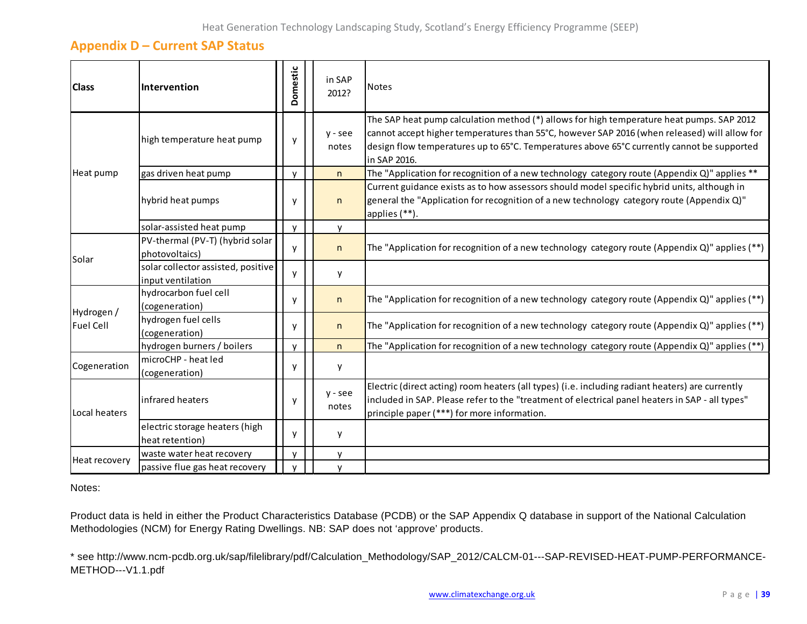### **Appendix D – Current SAP Status**

<span id="page-38-0"></span>

| <b>Class</b>     | Intervention                                            | Domestic     |  | in SAP<br>2012?    | <b>Notes</b>                                                                                                                                                                                                                                                                                            |
|------------------|---------------------------------------------------------|--------------|--|--------------------|---------------------------------------------------------------------------------------------------------------------------------------------------------------------------------------------------------------------------------------------------------------------------------------------------------|
|                  | high temperature heat pump                              | y            |  | $y -$ see<br>notes | The SAP heat pump calculation method (*) allows for high temperature heat pumps. SAP 2012<br>cannot accept higher temperatures than 55°C, however SAP 2016 (when released) will allow for<br>design flow temperatures up to 65°C. Temperatures above 65°C currently cannot be supported<br>in SAP 2016. |
| Heat pump        | gas driven heat pump                                    | v            |  | n                  | The "Application for recognition of a new technology category route (Appendix Q)" applies **                                                                                                                                                                                                            |
|                  | hybrid heat pumps                                       | y            |  | n                  | Current guidance exists as to how assessors should model specific hybrid units, although in<br>general the "Application for recognition of a new technology category route (Appendix $Q$ )"<br>applies (**).                                                                                            |
|                  | solar-assisted heat pump                                | $\mathsf{v}$ |  | <b>V</b>           |                                                                                                                                                                                                                                                                                                         |
| Solar            | PV-thermal (PV-T) (hybrid solar<br>photovoltaics)       | y            |  | n                  | The "Application for recognition of a new technology category route (Appendix Q)" applies (**)                                                                                                                                                                                                          |
|                  | solar collector assisted, positive<br>input ventilation | V            |  | y                  |                                                                                                                                                                                                                                                                                                         |
| Hydrogen /       | hydrocarbon fuel cell<br>(cogeneration)                 | y            |  | n.                 | The "Application for recognition of a new technology category route (Appendix Q)" applies (**)                                                                                                                                                                                                          |
| <b>Fuel Cell</b> | hydrogen fuel cells<br>(cogeneration)                   | y            |  | n                  | The "Application for recognition of a new technology category route (Appendix Q)" applies (**)                                                                                                                                                                                                          |
|                  | hydrogen burners / boilers                              | $\mathsf{v}$ |  | n.                 | The "Application for recognition of a new technology category route (Appendix Q)" applies (**)                                                                                                                                                                                                          |
| Cogeneration     | microCHP - heat led<br>(cogeneration)                   | y            |  | у                  |                                                                                                                                                                                                                                                                                                         |
| Local heaters    | infrared heaters                                        | y            |  | $y -$ see<br>notes | Electric (direct acting) room heaters (all types) (i.e. including radiant heaters) are currently<br>included in SAP. Please refer to the "treatment of electrical panel heaters in SAP - all types"<br>principle paper (***) for more information.                                                      |
|                  | electric storage heaters (high<br>heat retention)       | y            |  | y                  |                                                                                                                                                                                                                                                                                                         |
|                  | waste water heat recovery                               | v            |  | ۷                  |                                                                                                                                                                                                                                                                                                         |
| Heat recovery    | passive flue gas heat recovery                          |              |  | v                  |                                                                                                                                                                                                                                                                                                         |

Notes:

Product data is held in either the Product Characteristics Database (PCDB) or the SAP Appendix Q database in support of the National Calculation Methodologies (NCM) for Energy Rating Dwellings. NB: SAP does not 'approve' products.

\* see http://www.ncm-pcdb.org.uk/sap/filelibrary/pdf/Calculation\_Methodology/SAP\_2012/CALCM-01---SAP-REVISED-HEAT-PUMP-PERFORMANCE-METHOD---V1.1.pdf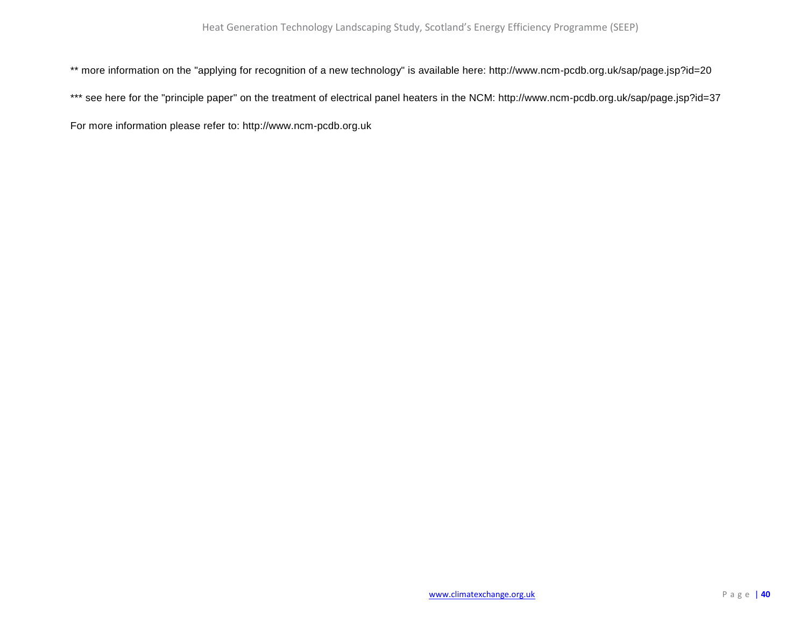\*\* more information on the "applying for recognition of a new technology" is available here: http://www.ncm-pcdb.org.uk/sap/page.jsp?id=20

\*\*\* see here for the "principle paper" on the treatment of electrical panel heaters in the NCM: http://www.ncm-pcdb.org.uk/sap/page.jsp?id=37

For more information please refer to: http://www.ncm-pcdb.org.uk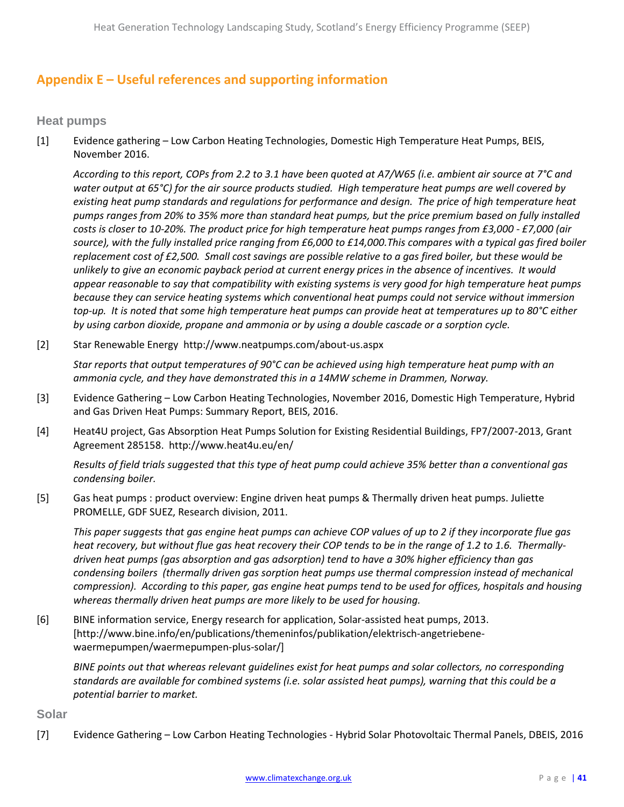# <span id="page-40-0"></span>**Appendix E – Useful references and supporting information**

**Heat pumps**

[1] Evidence gathering – Low Carbon Heating Technologies, Domestic High Temperature Heat Pumps, BEIS, November 2016.

*According to this report, COPs from 2.2 to 3.1 have been quoted at A7/W65 (i.e. ambient air source at 7°C and water output at 65°C) for the air source products studied. High temperature heat pumps are well covered by existing heat pump standards and regulations for performance and design. The price of high temperature heat pumps ranges from 20% to 35% more than standard heat pumps, but the price premium based on fully installed costs is closer to 10-20%. The product price for high temperature heat pumps ranges from £3,000 - £7,000 (air source), with the fully installed price ranging from £6,000 to £14,000.This compares with a typical gas fired boiler replacement cost of £2,500. Small cost savings are possible relative to a gas fired boiler, but these would be unlikely to give an economic payback period at current energy prices in the absence of incentives. It would appear reasonable to say that compatibility with existing systems is very good for high temperature heat pumps because they can service heating systems which conventional heat pumps could not service without immersion top-up. It is noted that some high temperature heat pumps can provide heat at temperatures up to 80°C either by using carbon dioxide, propane and ammonia or by using a double cascade or a sorption cycle.*

[2] Star Renewable Energy http://www.neatpumps.com/about-us.aspx

*Star reports that output temperatures of 90°C can be achieved using high temperature heat pump with an ammonia cycle, and they have demonstrated this in a 14MW scheme in Drammen, Norway.* 

- [3] Evidence Gathering Low Carbon Heating Technologies, November 2016, Domestic High Temperature, Hybrid and Gas Driven Heat Pumps: Summary Report, BEIS, 2016.
- [4] Heat4U project, Gas Absorption Heat Pumps Solution for Existing Residential Buildings, FP7/2007-2013, Grant Agreement 285158. http://www.heat4u.eu/en/

*Results of field trials suggested that this type of heat pump could achieve 35% better than a conventional gas condensing boiler.*

[5] Gas heat pumps : product overview: Engine driven heat pumps & Thermally driven heat pumps. Juliette PROMELLE, GDF SUEZ, Research division, 2011.

*This paper suggests that gas engine heat pumps can achieve COP values of up to 2 if they incorporate flue gas heat recovery, but without flue gas heat recovery their COP tends to be in the range of 1.2 to 1.6. Thermallydriven heat pumps (gas absorption and gas adsorption) tend to have a 30% higher efficiency than gas condensing boilers (thermally driven gas sorption heat pumps use thermal compression instead of mechanical compression). According to this paper, gas engine heat pumps tend to be used for offices, hospitals and housing whereas thermally driven heat pumps are more likely to be used for housing.*

[6] BINE information service, Energy research for application, Solar-assisted heat pumps, 2013. [http://www.bine.info/en/publications/themeninfos/publikation/elektrisch-angetriebenewaermepumpen/waermepumpen-plus-solar/]

*BINE points out that whereas relevant guidelines exist for heat pumps and solar collectors, no corresponding standards are available for combined systems (i.e. solar assisted heat pumps), warning that this could be a potential barrier to market.*

**Solar**

[7] Evidence Gathering – Low Carbon Heating Technologies - Hybrid Solar Photovoltaic Thermal Panels, DBEIS, 2016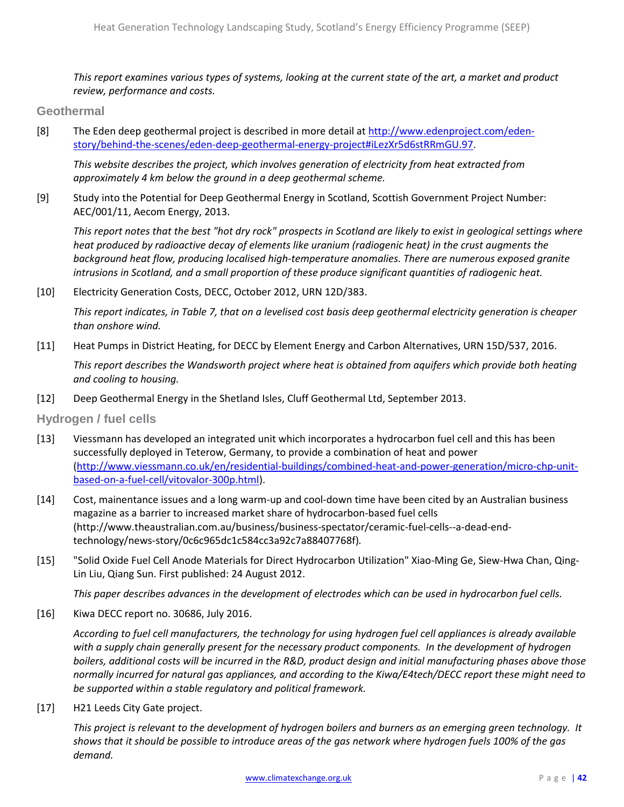*This report examines various types of systems, looking at the current state of the art, a market and product review, performance and costs.*

**Geothermal** 

[8] The Eden deep geothermal project is described in more detail at [http://www.edenproject.com/eden](http://www.edenproject.com/eden-story/behind-the-scenes/eden-deep-geothermal-energy-project#iLezXr5d6stRRmGU.97)[story/behind-the-scenes/eden-deep-geothermal-energy-project#iLezXr5d6stRRmGU.97.](http://www.edenproject.com/eden-story/behind-the-scenes/eden-deep-geothermal-energy-project#iLezXr5d6stRRmGU.97)

*This website describes the project, which involves generation of electricity from heat extracted from approximately 4 km below the ground in a deep geothermal scheme.*

[9] Study into the Potential for Deep Geothermal Energy in Scotland, Scottish Government Project Number: AEC/001/11, Aecom Energy, 2013.

*This report notes that the best "hot dry rock" prospects in Scotland are likely to exist in geological settings where heat produced by radioactive decay of elements like uranium (radiogenic heat) in the crust augments the background heat flow, producing localised high-temperature anomalies. There are numerous exposed granite intrusions in Scotland, and a small proportion of these produce significant quantities of radiogenic heat.*

[10] Electricity Generation Costs, DECC, October 2012, URN 12D/383.

*This report indicates, in Table 7, that on a levelised cost basis deep geothermal electricity generation is cheaper than onshore wind.*

[11] Heat Pumps in District Heating, for DECC by Element Energy and Carbon Alternatives, URN 15D/537, 2016.

*This report describes the Wandsworth project where heat is obtained from aquifers which provide both heating and cooling to housing.*

[12] Deep Geothermal Energy in the Shetland Isles, Cluff Geothermal Ltd, September 2013.

**Hydrogen / fuel cells**

- [13] Viessmann has developed an integrated unit which incorporates a hydrocarbon fuel cell and this has been successfully deployed in Teterow, Germany, to provide a combination of heat and power [\(http://www.viessmann.co.uk/en/residential-buildings/combined-heat-and-power-generation/micro-chp-unit](http://www.viessmann.co.uk/en/residential-buildings/combined-heat-and-power-generation/micro-chp-unit-based-on-a-fuel-cell/vitovalor-300p.html)[based-on-a-fuel-cell/vitovalor-300p.html\)](http://www.viessmann.co.uk/en/residential-buildings/combined-heat-and-power-generation/micro-chp-unit-based-on-a-fuel-cell/vitovalor-300p.html).
- [14] Cost, mainentance issues and a long warm-up and cool-down time have been cited by an Australian business magazine as a barrier to increased market share of hydrocarbon-based fuel cells (http://www.theaustralian.com.au/business/business-spectator/ceramic-fuel-cells--a-dead-endtechnology/news-story/0c6c965dc1c584cc3a92c7a88407768f)*.*
- [15] "Solid Oxide Fuel Cell Anode Materials for Direct Hydrocarbon Utilization" Xiao-Ming Ge, Siew-Hwa Chan, Qing-Lin Liu, Qiang Sun. First published: 24 August 2012.

*This paper describes advances in the development of electrodes which can be used in hydrocarbon fuel cells.*

[16] Kiwa DECC report no. 30686, July 2016.

*According to fuel cell manufacturers, the technology for using hydrogen fuel cell appliances is already available with a supply chain generally present for the necessary product components. In the development of hydrogen boilers, additional costs will be incurred in the R&D, product design and initial manufacturing phases above those normally incurred for natural gas appliances, and according to the Kiwa/E4tech/DECC report these might need to be supported within a stable regulatory and political framework.*

[17] H21 Leeds City Gate project.

*This project is relevant to the development of hydrogen boilers and burners as an emerging green technology. It shows that it should be possible to introduce areas of the gas network where hydrogen fuels 100% of the gas demand.*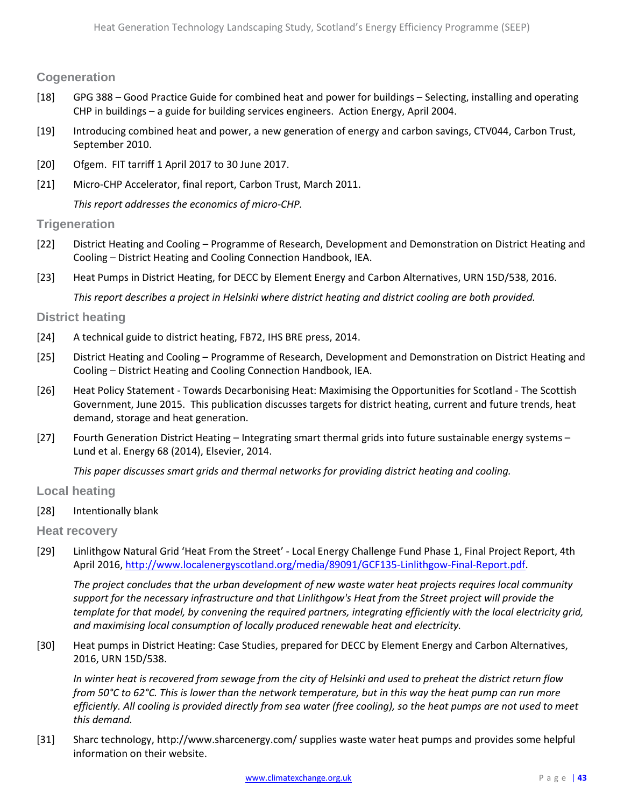### **Cogeneration**

- [18] GPG 388 Good Practice Guide for combined heat and power for buildings Selecting, installing and operating CHP in buildings – a guide for building services engineers. Action Energy, April 2004.
- [19] Introducing combined heat and power, a new generation of energy and carbon savings, CTV044, Carbon Trust, September 2010.
- [20] Ofgem. FIT tarriff 1 April 2017 to 30 June 2017.
- [21] Micro-CHP Accelerator, final report, Carbon Trust, March 2011.

*This report addresses the economics of micro-CHP.*

### **Trigeneration**

- [22] District Heating and Cooling Programme of Research, Development and Demonstration on District Heating and Cooling – District Heating and Cooling Connection Handbook, IEA.
- [23] Heat Pumps in District Heating, for DECC by Element Energy and Carbon Alternatives, URN 15D/538, 2016.

*This report describes a project in Helsinki where district heating and district cooling are both provided.*

### **District heating**

- [24] A technical guide to district heating, FB72, IHS BRE press, 2014.
- [25] District Heating and Cooling Programme of Research, Development and Demonstration on District Heating and Cooling – District Heating and Cooling Connection Handbook, IEA.
- [26] Heat Policy Statement Towards Decarbonising Heat: Maximising the Opportunities for Scotland The Scottish Government, June 2015. This publication discusses targets for district heating, current and future trends, heat demand, storage and heat generation.
- [27] Fourth Generation District Heating Integrating smart thermal grids into future sustainable energy systems Lund et al. Energy 68 (2014), Elsevier, 2014.

*This paper discusses smart grids and thermal networks for providing district heating and cooling.*

### **Local heating**

[28] Intentionally blank

### **Heat recovery**

[29] Linlithgow Natural Grid 'Heat From the Street' - Local Energy Challenge Fund Phase 1, Final Project Report, 4th April 2016, [http://www.localenergyscotland.org/media/89091/GCF135-Linlithgow-Final-Report.pdf.](http://www.localenergyscotland.org/media/89091/GCF135-Linlithgow-Final-Report.pdf)

*The project concludes that the urban development of new waste water heat projects requires local community support for the necessary infrastructure and that Linlithgow's Heat from the Street project will provide the template for that model, by convening the required partners, integrating efficiently with the local electricity grid, and maximising local consumption of locally produced renewable heat and electricity.*

[30] Heat pumps in District Heating: Case Studies, prepared for DECC by Element Energy and Carbon Alternatives, 2016, URN 15D/538.

*In winter heat is recovered from sewage from the city of Helsinki and used to preheat the district return flow from 50°C to 62°C. This is lower than the network temperature, but in this way the heat pump can run more efficiently. All cooling is provided directly from sea water (free cooling), so the heat pumps are not used to meet this demand.*

[31] Sharc technology, http://www.sharcenergy.com/ supplies waste water heat pumps and provides some helpful information on their website.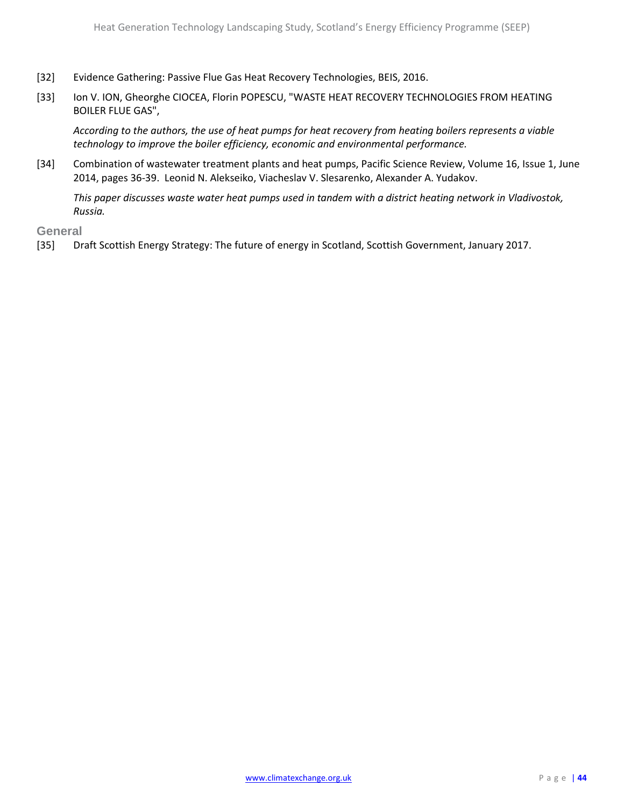- [32] Evidence Gathering: Passive Flue Gas Heat Recovery Technologies, BEIS, 2016.
- [33] Ion V. ION, Gheorghe CIOCEA, Florin POPESCU, "WASTE HEAT RECOVERY TECHNOLOGIES FROM HEATING BOILER FLUE GAS",

*According to the authors, the use of heat pumps for heat recovery from heating boilers represents a viable technology to improve the boiler efficiency, economic and environmental performance.*

[34] Combination of wastewater treatment plants and heat pumps, Pacific Science Review, Volume 16, Issue 1, June 2014, pages 36-39. Leonid N. Alekseiko, Viacheslav V. Slesarenko, Alexander A. Yudakov.

*This paper discusses waste water heat pumps used in tandem with a district heating network in Vladivostok, Russia.*

**General**

[35] Draft Scottish Energy Strategy: The future of energy in Scotland, Scottish Government, January 2017.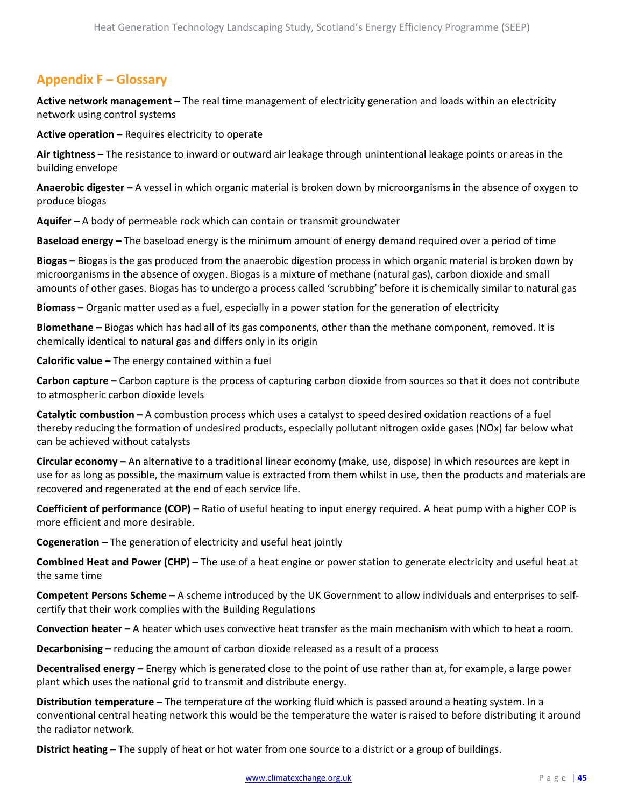# <span id="page-44-0"></span>**Appendix F – Glossary**

**Active network management –** The real time management of electricity generation and loads within an electricity network using control systems

**Active operation –** Requires electricity to operate

**Air tightness –** The resistance to inward or outward air leakage through unintentional leakage points or areas in the building envelope

**Anaerobic digester –** A vessel in which organic material is broken down by microorganisms in the absence of oxygen to produce biogas

**Aquifer –** A body of permeable rock which can contain or transmit groundwater

**Baseload energy –** The baseload energy is the minimum amount of energy demand required over a period of time

**Biogas –** Biogas is the gas produced from the anaerobic digestion process in which organic material is broken down by microorganisms in the absence of oxygen. Biogas is a mixture of methane (natural gas), carbon dioxide and small amounts of other gases. Biogas has to undergo a process called 'scrubbing' before it is chemically similar to natural gas

**Biomass –** Organic matter used as a fuel, especially in a power station for the generation of electricity

**Biomethane –** Biogas which has had all of its gas components, other than the methane component, removed. It is chemically identical to natural gas and differs only in its origin

**Calorific value –** The energy contained within a fuel

**Carbon capture –** Carbon capture is the process of capturing carbon dioxide from sources so that it does not contribute to atmospheric carbon dioxide levels

**Catalytic combustion –** A combustion process which uses a catalyst to speed desired oxidation reactions of a fuel thereby reducing the formation of undesired products, especially pollutant nitrogen oxide gases (NOx) far below what can be achieved without catalysts

**Circular economy –** An alternative to a traditional linear economy (make, use, dispose) in which resources are kept in use for as long as possible, the maximum value is extracted from them whilst in use, then the products and materials are recovered and regenerated at the end of each service life.

**Coefficient of performance (COP) –** Ratio of useful heating to input energy required. A heat pump with a higher COP is more efficient and more desirable.

**Cogeneration –** The generation of electricity and useful heat jointly

**Combined Heat and Power (CHP) –** The use of a heat engine or power station to generate electricity and useful heat at the same time

**Competent Persons Scheme –** A scheme introduced by the UK Government to allow individuals and enterprises to selfcertify that their work complies with the Building Regulations

**Convection heater –** A heater which uses convective heat transfer as the main mechanism with which to heat a room.

**Decarbonising –** reducing the amount of carbon dioxide released as a result of a process

**Decentralised energy –** Energy which is generated close to the point of use rather than at, for example, a large power plant which uses the national grid to transmit and distribute energy.

**Distribution temperature –** The temperature of the working fluid which is passed around a heating system. In a conventional central heating network this would be the temperature the water is raised to before distributing it around the radiator network.

**District heating –** The supply of heat or hot water from one source to a district or a group of buildings.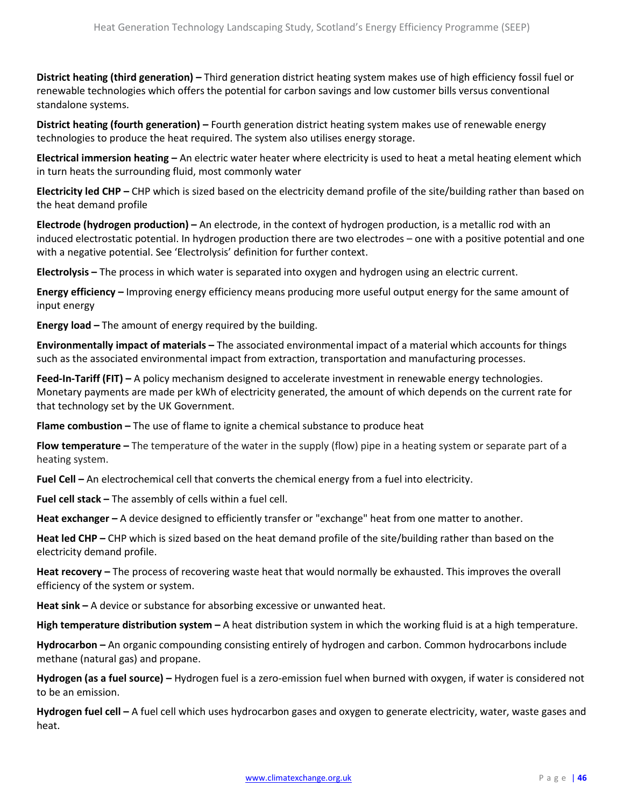**District heating (third generation) –** Third generation district heating system makes use of high efficiency fossil fuel or renewable technologies which offers the potential for carbon savings and low customer bills versus conventional standalone systems.

**District heating (fourth generation) –** Fourth generation district heating system makes use of renewable energy technologies to produce the heat required. The system also utilises energy storage.

**Electrical immersion heating –** An electric water heater where electricity is used to heat a metal heating element which in turn heats the surrounding fluid, most commonly water

**Electricity led CHP –** CHP which is sized based on the electricity demand profile of the site/building rather than based on the heat demand profile

**Electrode (hydrogen production) –** An electrode, in the context of hydrogen production, is a metallic rod with an induced electrostatic potential. In hydrogen production there are two electrodes – one with a positive potential and one with a negative potential. See 'Electrolysis' definition for further context.

**Electrolysis –** The process in which water is separated into oxygen and hydrogen using an electric current.

**Energy efficiency –** Improving energy efficiency means producing more useful output energy for the same amount of input energy

**Energy load –** The amount of energy required by the building.

**Environmentally impact of materials –** The associated environmental impact of a material which accounts for things such as the associated environmental impact from extraction, transportation and manufacturing processes.

**Feed-In-Tariff (FIT) –** A policy mechanism designed to accelerate investment in renewable energy technologies. Monetary payments are made per kWh of electricity generated, the amount of which depends on the current rate for that technology set by the UK Government.

**Flame combustion –** The use of flame to ignite a chemical substance to produce heat

**Flow temperature –** The temperature of the water in the supply (flow) pipe in a heating system or separate part of a heating system.

**Fuel Cell –** An electrochemical cell that converts the chemical energy from a fuel into electricity.

**Fuel cell stack –** The assembly of cells within a fuel cell.

**Heat exchanger –** A device designed to efficiently transfer or "exchange" heat from one matter to another.

**Heat led CHP –** CHP which is sized based on the heat demand profile of the site/building rather than based on the electricity demand profile.

**Heat recovery –** The process of recovering waste heat that would normally be exhausted. This improves the overall efficiency of the system or system.

**Heat sink –** A device or substance for absorbing excessive or unwanted heat.

**High temperature distribution system –** A heat distribution system in which the working fluid is at a high temperature.

**Hydrocarbon –** An organic compounding consisting entirely of hydrogen and carbon. Common hydrocarbons include methane (natural gas) and propane.

**Hydrogen (as a fuel source) –** Hydrogen fuel is a zero-emission fuel when burned with oxygen, if water is considered not to be an emission.

**Hydrogen fuel cell –** A fuel cell which uses hydrocarbon gases and oxygen to generate electricity, water, waste gases and heat.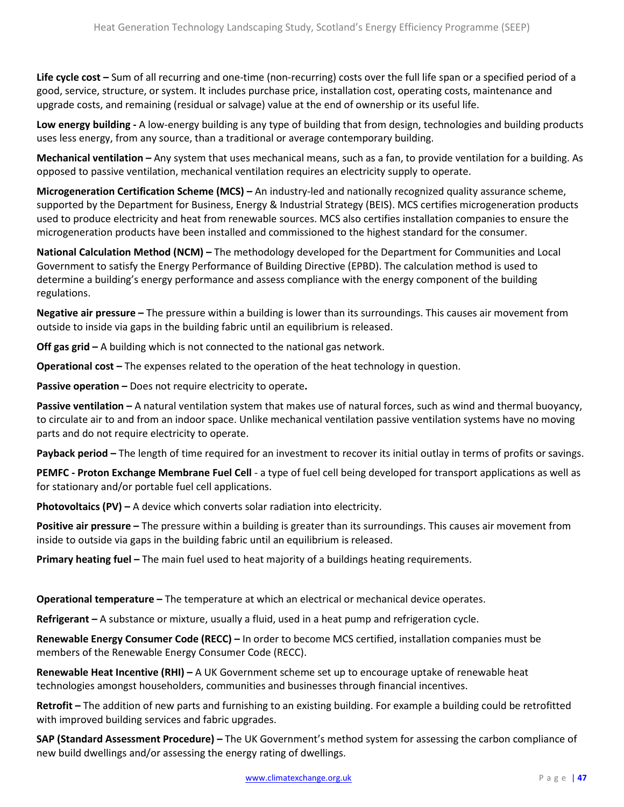**Life cycle cost –** Sum of all recurring and one-time (non-recurring) costs over the full life span or a specified period of a good, service, structure, or system. It includes purchase price, installation cost, operating costs, maintenance and upgrade costs, and remaining (residual or salvage) value at the end of ownership or its useful life.

**Low energy building -** A low-energy building is any type of building that from design, technologies and building products uses less energy, from any source, than a traditional or average contemporary building.

**Mechanical ventilation –** Any system that uses mechanical means, such as a fan, to provide ventilation for a building. As opposed to passive ventilation, mechanical ventilation requires an electricity supply to operate.

**Microgeneration Certification Scheme (MCS) –** An industry-led and nationally recognized quality assurance scheme, supported by the Department for Business, Energy & Industrial Strategy (BEIS). MCS certifies microgeneration products used to produce electricity and heat from renewable sources. MCS also certifies installation companies to ensure the microgeneration products have been installed and commissioned to the highest standard for the consumer.

**National Calculation Method (NCM) –** The methodology developed for the Department for Communities and Local Government to satisfy the Energy Performance of Building Directive (EPBD). The calculation method is used to determine a building's energy performance and assess compliance with the energy component of the building regulations.

**Negative air pressure –** The pressure within a building is lower than its surroundings. This causes air movement from outside to inside via gaps in the building fabric until an equilibrium is released.

**Off gas grid –** A building which is not connected to the national gas network.

**Operational cost –** The expenses related to the operation of the heat technology in question.

**Passive operation –** Does not require electricity to operate**.**

**Passive ventilation –** A natural ventilation system that makes use of natural forces, such as wind and thermal buoyancy, to circulate air to and from an indoor space. Unlike mechanical ventilation passive ventilation systems have no moving parts and do not require electricity to operate.

**Payback period –** The length of time required for an investment to recover its initial outlay in terms of profits or savings.

**PEMFC - Proton Exchange Membrane Fuel Cell** - a type of fuel cell being developed for transport applications as well as for stationary and/or portable fuel cell applications.

**Photovoltaics (PV) –** A device which converts solar radiation into electricity.

**Positive air pressure –** The pressure within a building is greater than its surroundings. This causes air movement from inside to outside via gaps in the building fabric until an equilibrium is released.

**Primary heating fuel –** The main fuel used to heat majority of a buildings heating requirements.

**Operational temperature –** The temperature at which an electrical or mechanical device operates.

**Refrigerant –** A substance or mixture, usually a fluid, used in a heat pump and refrigeration cycle.

**Renewable Energy Consumer Code (RECC) –** In order to become MCS certified, installation companies must be members of the Renewable Energy Consumer Code (RECC).

**Renewable Heat Incentive (RHI) –** A UK Government scheme set up to encourage uptake of renewable heat technologies amongst householders, communities and businesses through financial incentives.

**Retrofit –** The addition of new parts and furnishing to an existing building. For example a building could be retrofitted with improved building services and fabric upgrades.

**SAP (Standard Assessment Procedure) –** The UK Government's method system for assessing the carbon compliance of new build dwellings and/or assessing the energy rating of dwellings.